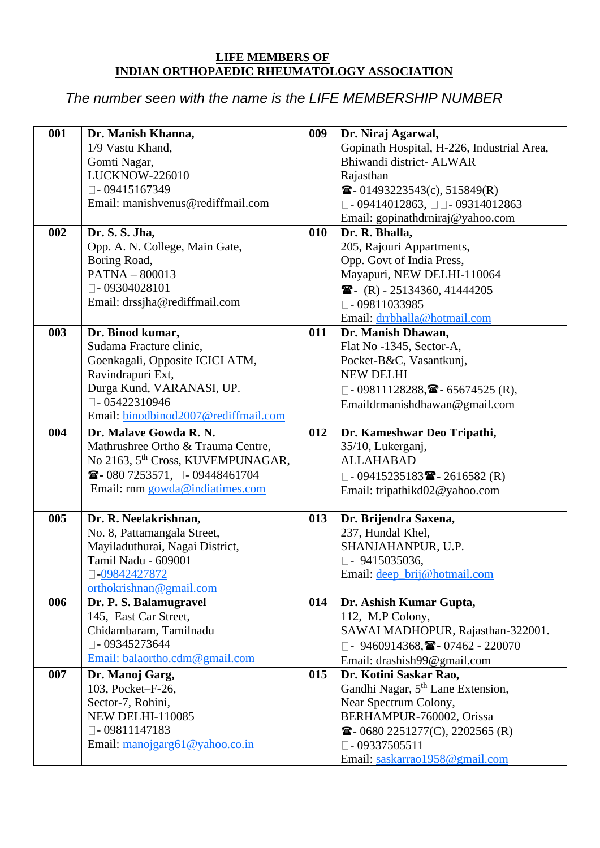## **LIFE MEMBERS OF INDIAN ORTHOPAEDIC RHEUMATOLOGY ASSOCIATION**

## *The number seen with the name is the LIFE MEMBERSHIP NUMBER*

| 001 | Dr. Manish Khanna,<br>1/9 Vastu Khand,<br>Gomti Nagar,<br><b>LUCKNOW-226010</b><br>$\square$ - 09415167349                                                                                       | 009 | Dr. Niraj Agarwal,<br>Gopinath Hospital, H-226, Industrial Area,<br>Bhiwandi district- ALWAR<br>Rajasthan<br>$\bullet$ - 01493223543(c), 515849(R)                                                                                              |
|-----|--------------------------------------------------------------------------------------------------------------------------------------------------------------------------------------------------|-----|-------------------------------------------------------------------------------------------------------------------------------------------------------------------------------------------------------------------------------------------------|
|     | Email: manishvenus@rediffmail.com                                                                                                                                                                |     | $\Box$ - 09414012863, $\Box$ $\Box$ - 09314012863<br>Email: gopinathdrniraj@yahoo.com                                                                                                                                                           |
| 002 | Dr. S. S. Jha,<br>Opp. A. N. College, Main Gate,<br>Boring Road,<br>$PATH - 800013$<br>$\Box$ - 09304028101<br>Email: drssjha@rediffmail.com                                                     | 010 | Dr. R. Bhalla,<br>205, Rajouri Appartments,<br>Opp. Govt of India Press,<br>Mayapuri, NEW DELHI-110064<br>$\bullet$ (R) - 25134360, 41444205<br>$\square$ - 09811033985<br>Email: drrbhalla@hotmail.com                                         |
| 003 | Dr. Binod kumar,<br>Sudama Fracture clinic,<br>Goenkagali, Opposite ICICI ATM,<br>Ravindrapuri Ext,<br>Durga Kund, VARANASI, UP.<br>$\Box$ - 05422310946<br>Email: binodbinod2007@rediffmail.com | 011 | Dr. Manish Dhawan,<br>Flat No -1345, Sector-A,<br>Pocket-B&C, Vasantkunj,<br><b>NEW DELHI</b><br>$\Box$ - 09811128288, $\blacksquare$ - 65674525 (R),<br>Emaildrmanishdhawan@gmail.com                                                          |
| 004 | Dr. Malave Gowda R. N.<br>Mathrushree Ortho & Trauma Centre,<br>No 2163, 5 <sup>th</sup> Cross, KUVEMPUNAGAR,<br>☎ - 080 7253571, □ - 09448461704<br>Email: rnm gowda@indiatimes.com             | 012 | Dr. Kameshwar Deo Tripathi,<br>35/10, Lukerganj,<br><b>ALLAHABAD</b><br>$\Box$ - 09415235183 $\blacksquare$ - 2616582 (R)<br>Email: tripathikd02@yahoo.com                                                                                      |
| 005 | Dr. R. Neelakrishnan,<br>No. 8, Pattamangala Street,<br>Mayiladuthurai, Nagai District,<br>Tamil Nadu - 609001<br>0.09842427872<br>orthokrishnan@gmail.com                                       | 013 | Dr. Brijendra Saxena,<br>237, Hundal Khel,<br>SHANJAHANPUR, U.P.<br>$\Box$ - 9415035036,<br>Email: deep_brij@hotmail.com                                                                                                                        |
| 006 | Dr. P. S. Balamugravel<br>145, East Car Street,<br>Chidambaram, Tamilnadu<br>$\Box$ -09345273644<br>Email: balaortho.cdm@gmail.com                                                               | 014 | Dr. Ashish Kumar Gupta,<br>112, M.P Colony,<br>SAWAI MADHOPUR, Rajasthan-322001.<br>$\Box$ - 9460914368, $\blacksquare$ - 07462 - 220070<br>Email: drashish99@gmail.com                                                                         |
| 007 | Dr. Manoj Garg,<br>103, Pocket-F-26,<br>Sector-7, Rohini,<br><b>NEW DELHI-110085</b><br>$\Box$ -09811147183<br>Email: $\frac{manoigarg61@yahoo.co.in}{$                                          | 015 | Dr. Kotini Saskar Rao,<br>Gandhi Nagar, 5 <sup>th</sup> Lane Extension,<br>Near Spectrum Colony,<br>BERHAMPUR-760002, Orissa<br>$\mathbf{\widehat{E}}$ - 0680 2251277(C), 2202565 (R)<br>$\Box$ - 09337505511<br>Email: saskarrao1958@gmail.com |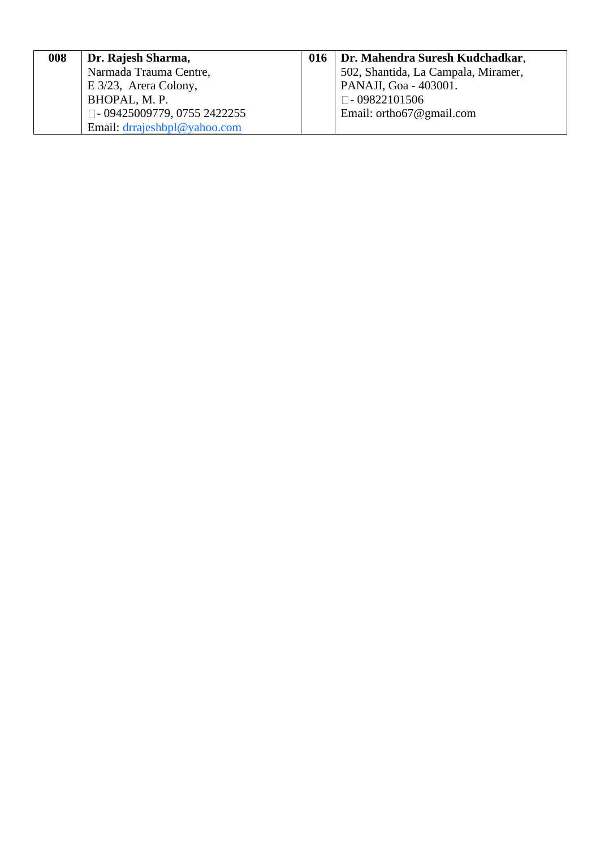| 008 | Dr. Rajesh Sharma,                    | 016   Dr. Mahendra Suresh Kudchadkar, |
|-----|---------------------------------------|---------------------------------------|
|     | Narmada Trauma Centre,                | 502, Shantida, La Campala, Miramer,   |
|     | $E\frac{3}{23}$ , Arera Colony,       | PANAJI, Goa - 403001.                 |
|     | BHOPAL, M. P.                         | $\Box$ -09822101506                   |
|     | $\square$ - 09425009779, 0755 2422255 | Email: ortho67@gmail.com              |
|     | Email: drrajeshbpl@yahoo.com          |                                       |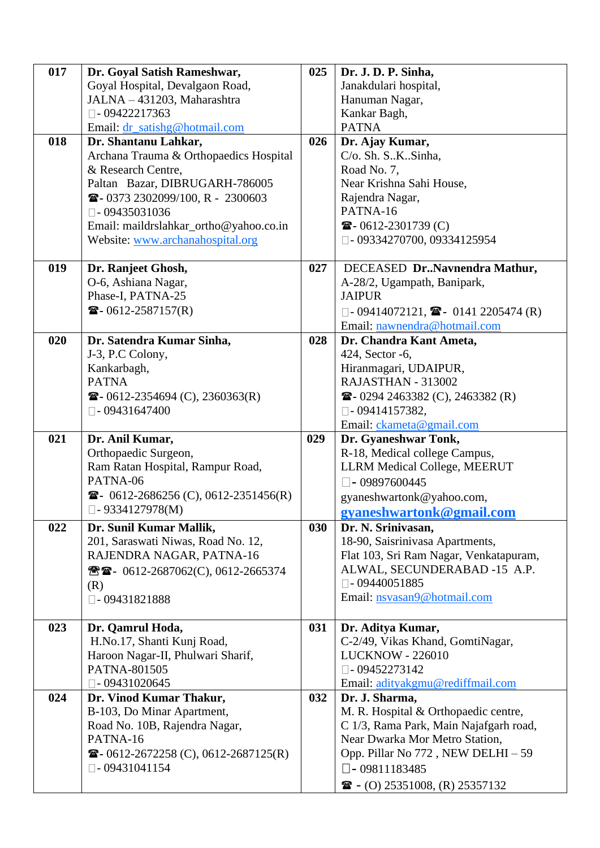| 017 | Dr. Goyal Satish Rameshwar,                           | 025 | Dr. J. D. P. Sinha,                                               |
|-----|-------------------------------------------------------|-----|-------------------------------------------------------------------|
|     | Goyal Hospital, Devalgaon Road,                       |     | Janakdulari hospital,                                             |
|     | JALNA - 431203, Maharashtra                           |     | Hanuman Nagar,                                                    |
|     | $\Box$ -09422217363                                   |     | Kankar Bagh,                                                      |
|     | Email: dr_satishg@hotmail.com                         |     | <b>PATNA</b>                                                      |
| 018 | Dr. Shantanu Lahkar,                                  | 026 | Dr. Ajay Kumar,                                                   |
|     | Archana Trauma & Orthopaedics Hospital                |     | C/o. Sh. S. K. Sinha,                                             |
|     | & Research Centre,                                    |     | Road No. 7,                                                       |
|     | Paltan Bazar, DIBRUGARH-786005                        |     | Near Krishna Sahi House,                                          |
|     | <sup>2</sup> 30373 2302099/100, R - 2300603           |     | Rajendra Nagar,                                                   |
|     | $\square$ - 09435031036                               |     | PATNA-16                                                          |
|     | Email: maildrslahkar_ortho@yahoo.co.in                |     | $\bullet$ - 0612-2301739 (C)                                      |
|     | Website: www.archanahospital.org                      |     | $\Box$ - 09334270700, 09334125954                                 |
| 019 | Dr. Ranjeet Ghosh,                                    | 027 | DECEASED DrNavnendra Mathur,                                      |
|     | O-6, Ashiana Nagar,                                   |     | A-28/2, Ugampath, Banipark,                                       |
|     | Phase-I, PATNA-25                                     |     | <b>JAIPUR</b>                                                     |
|     | $\bullet$ - 0612-2587157(R)                           |     | $\Box$ - 09414072121, $\blacksquare$ - 0141 2205474 (R)           |
|     |                                                       |     | Email: nawnendra@hotmail.com                                      |
| 020 | Dr. Satendra Kumar Sinha,                             | 028 | Dr. Chandra Kant Ameta,                                           |
|     | J-3, P.C Colony,                                      |     | 424, Sector -6,                                                   |
|     | Kankarbagh,                                           |     | Hiranmagari, UDAIPUR,                                             |
|     | <b>PATNA</b>                                          |     | RAJASTHAN - 313002                                                |
|     | $\mathbf{\widehat{a}}$ - 0612-2354694 (C), 2360363(R) |     | $\mathbf{\widehat{a}}$ - 0294 2463382 (C), 2463382 (R)            |
|     | $\Box$ - 09431647400                                  |     | $\square$ - 09414157382,                                          |
|     |                                                       |     | Email: ckameta@gmail.com                                          |
|     |                                                       |     |                                                                   |
| 021 | Dr. Anil Kumar,                                       | 029 | Dr. Gyaneshwar Tonk,                                              |
|     | Orthopaedic Surgeon,                                  |     | R-18, Medical college Campus,                                     |
|     | Ram Ratan Hospital, Rampur Road,                      |     |                                                                   |
|     | PATNA-06                                              |     | LLRM Medical College, MEERUT<br>$\Box$ - 09897600445              |
|     | $\bullet$ - 0612-2686256 (C), 0612-2351456(R)         |     |                                                                   |
|     | $\Box$ -9334127978(M)                                 |     | gyaneshwartonk@yahoo.com,                                         |
|     |                                                       |     | gyaneshwartonk@gmail.com                                          |
| 022 | Dr. Sunil Kumar Mallik,                               | 030 | Dr. N. Srinivasan,                                                |
|     | 201, Saraswati Niwas, Road No. 12,                    |     | 18-90, Saisrinivasa Apartments,                                   |
|     | RAJENDRA NAGAR, PATNA-16                              |     | Flat 103, Sri Ram Nagar, Venkatapuram,                            |
|     | <b>图雷-</b> 0612-2687062(C), 0612-2665374              |     | ALWAL, SECUNDERABAD -15 A.P.                                      |
|     | (R)<br>$\square$ - 09431821888                        |     | $\Box$ - 09440051885<br>Email: nsvasan9@hotmail.com               |
|     |                                                       |     |                                                                   |
| 023 | Dr. Qamrul Hoda,                                      | 031 | Dr. Aditya Kumar,                                                 |
|     | H.No.17, Shanti Kunj Road,                            |     | C-2/49, Vikas Khand, GomtiNagar,                                  |
|     | Haroon Nagar-II, Phulwari Sharif,                     |     | <b>LUCKNOW - 226010</b>                                           |
|     | PATNA-801505                                          |     | $\Box$ - 09452273142                                              |
|     | $\square$ - 09431020645                               |     | Email: adityakgmu@rediffmail.com                                  |
| 024 | Dr. Vinod Kumar Thakur,                               | 032 | Dr. J. Sharma,                                                    |
|     | B-103, Do Minar Apartment,                            |     | M. R. Hospital & Orthopaedic centre,                              |
|     | Road No. 10B, Rajendra Nagar,                         |     | C 1/3, Rama Park, Main Najafgarh road,                            |
|     | PATNA-16                                              |     | Near Dwarka Mor Metro Station,                                    |
|     | $\bullet$ - 0612-2672258 (C), 0612-2687125(R)         |     | Opp. Pillar No 772, NEW DELHI - 59                                |
|     | $\square$ - 09431041154                               |     | $\Box$ - 09811183485<br>$\mathbf{R}$ - (O) 25351008, (R) 25357132 |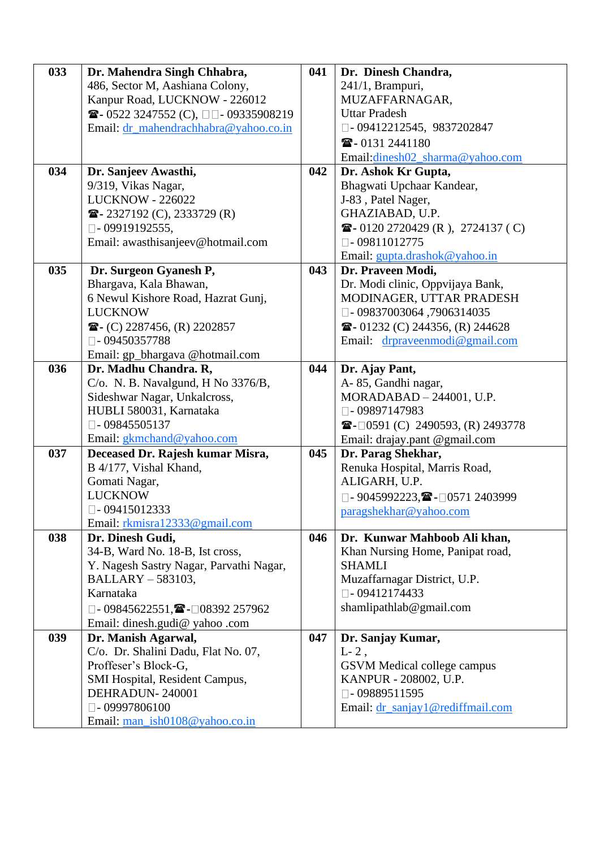| 033 | Dr. Mahendra Singh Chhabra,                                | 041 | Dr. Dinesh Chandra,                                           |
|-----|------------------------------------------------------------|-----|---------------------------------------------------------------|
|     | 486, Sector M, Aashiana Colony,                            |     | 241/1, Brampuri,                                              |
|     | Kanpur Road, LUCKNOW - 226012                              |     | MUZAFFARNAGAR,                                                |
|     | $\bullet$ - 0522 3247552 (C), $\Box$ - 09335908219         |     | <b>Uttar Pradesh</b>                                          |
|     | Email: dr_mahendrachhabra@yahoo.co.in                      |     | □-09412212545, 9837202847                                     |
|     |                                                            |     | $\mathbf{2}$ -0131 2441180                                    |
|     |                                                            |     | Email:dinesh02_sharma@yahoo.com                               |
| 034 | Dr. Sanjeev Awasthi,                                       | 042 | Dr. Ashok Kr Gupta,                                           |
|     | 9/319, Vikas Nagar,                                        |     | Bhagwati Upchaar Kandear,                                     |
|     | <b>LUCKNOW - 226022</b>                                    |     | J-83, Patel Nager,                                            |
|     | $\bullet$ - 2327192 (C), 2333729 (R)                       |     | GHAZIABAD, U.P.                                               |
|     | $\Box$ - 09919192555,                                      |     | $\bullet$ - 0120 2720429 (R), 2724137 (C)                     |
|     | Email: awasthisanjeev@hotmail.com                          |     | $\Box$ - 09811012775                                          |
|     |                                                            |     | Email: gupta.drashok@yahoo.in                                 |
| 035 | Dr. Surgeon Gyanesh P,                                     | 043 | Dr. Praveen Modi,                                             |
|     | Bhargava, Kala Bhawan,                                     |     | Dr. Modi clinic, Oppvijaya Bank,                              |
|     | 6 Newul Kishore Road, Hazrat Gunj,                         |     | MODINAGER, UTTAR PRADESH                                      |
|     | <b>LUCKNOW</b>                                             |     | $\square$ - 09837003064,7906314035                            |
|     | $\mathbf{R}$ - (C) 2287456, (R) 2202857                    |     | $\mathbf{\widehat{m}}$ - 01232 (C) 244356, (R) 244628         |
|     | $\Box$ - 09450357788                                       |     | Email: drpraveenmodi@gmail.com                                |
|     | Email: gp_bhargava @hotmail.com                            |     |                                                               |
| 036 | Dr. Madhu Chandra. R,                                      | 044 | Dr. Ajay Pant,                                                |
|     | C/o. N. B. Navalgund, H No 3376/B,                         |     | A-85, Gandhi nagar,                                           |
|     | Sideshwar Nagar, Unkalcross,                               |     | $MORADABAD - 244001$ , U.P.                                   |
|     | HUBLI 580031, Karnataka                                    |     | $\Box$ -09897147983                                           |
|     | $\Box$ -09845505137                                        |     | $\mathbf{\widehat{m}}$ - $\Box$ 0591 (C) 2490593, (R) 2493778 |
|     | Email: gkmchand@yahoo.com                                  |     | Email: drajay.pant @gmail.com                                 |
| 037 | Deceased Dr. Rajesh kumar Misra,                           | 045 | Dr. Parag Shekhar,                                            |
|     | B 4/177, Vishal Khand,                                     |     | Renuka Hospital, Marris Road,                                 |
|     | Gomati Nagar,                                              |     | ALIGARH, U.P.                                                 |
|     | <b>LUCKNOW</b>                                             |     | $\Box$ - 9045992223, $\blacksquare$ - $\Box$ 0571 2403999     |
|     | $\Box$ - 09415012333                                       |     | paragshekhar@yahoo.com                                        |
|     | Email: rkmisra12333@gmail.com                              |     |                                                               |
| 038 | Dr. Dinesh Gudi,                                           | 046 | Dr. Kunwar Mahboob Ali khan,                                  |
|     | 34-B, Ward No. 18-B, Ist cross,                            |     | Khan Nursing Home, Panipat road,                              |
|     | Y. Nagesh Sastry Nagar, Parvathi Nagar,                    |     | <b>SHAMLI</b>                                                 |
|     | BALLARY - 583103,                                          |     | Muzaffarnagar District, U.P.                                  |
|     | Karnataka                                                  |     | $\square$ - 09412174433                                       |
|     | $\Box$ - 09845622551, $\blacksquare$ - $\Box$ 08392 257962 |     | shamlipathlab@gmail.com                                       |
|     | Email: dinesh.gudi@ yahoo .com                             |     |                                                               |
| 039 | Dr. Manish Agarwal,                                        | 047 | Dr. Sanjay Kumar,                                             |
|     | C/o. Dr. Shalini Dadu, Flat No. 07,                        |     | $L-2$ ,                                                       |
|     | Proffeser's Block-G,                                       |     | GSVM Medical college campus                                   |
|     | SMI Hospital, Resident Campus,                             |     | KANPUR - 208002, U.P.                                         |
|     | DEHRADUN-240001                                            |     | $\Box$ -09889511595                                           |
|     | $\square$ - 09997806100                                    |     | Email: dr_sanjay1@rediffmail.com                              |
|     |                                                            |     |                                                               |
|     | Email: man_ish0108@yahoo.co.in                             |     |                                                               |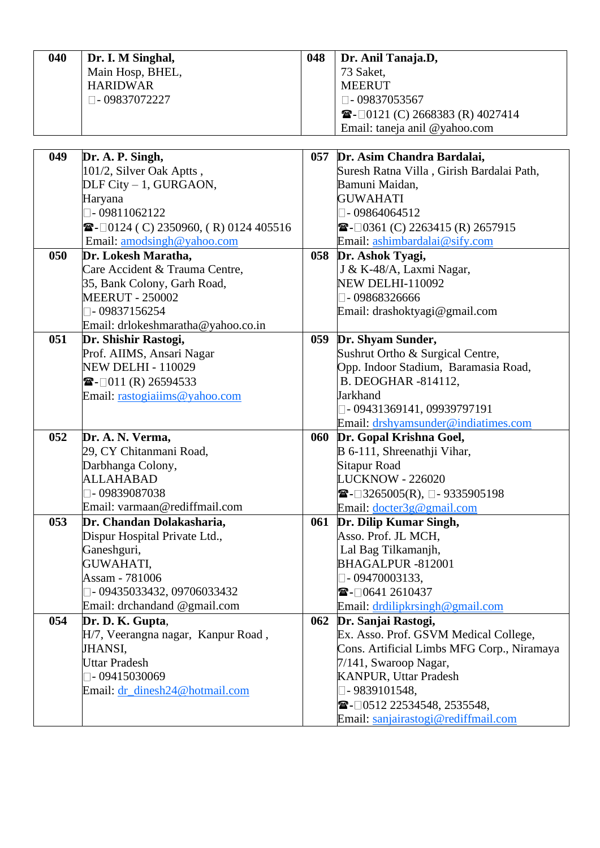| 040 | Dr. I. M Singhal,                                                 | 048 | Dr. Anil Tanaja.D,                                           |
|-----|-------------------------------------------------------------------|-----|--------------------------------------------------------------|
|     | Main Hosp, BHEL,                                                  |     | 73 Saket,                                                    |
|     | <b>HARIDWAR</b>                                                   |     | <b>MEERUT</b>                                                |
|     | □-09837072227                                                     |     | $\Box$ -09837053567                                          |
|     |                                                                   |     | $\mathbf{\widehat{m}}$ - $\Box$ 0121 (C) 2668383 (R) 4027414 |
|     |                                                                   |     | Email: taneja anil @yahoo.com                                |
|     |                                                                   |     |                                                              |
| 049 | Dr. A. P. Singh,                                                  | 057 | Dr. Asim Chandra Bardalai,                                   |
|     | 101/2, Silver Oak Aptts,                                          |     | Suresh Ratna Villa, Girish Bardalai Path,                    |
|     | DLF City - 1, GURGAON,                                            |     | Bamuni Maidan,                                               |
|     | Haryana                                                           |     | <b>GUWAHATI</b>                                              |
|     | $\Box$ - 09811062122                                              |     | $\n  \Box$ - 09864064512                                     |
|     | $\mathbf{\mathcal{F}}$ - $\Box$ 0124 (C) 2350960, (R) 0124 405516 |     | $\bullet$ - 0361 (C) 2263415 (R) 2657915                     |
|     | Email: amodsingh@yahoo.com                                        |     | Email: ashimbardalai@sify.com                                |
| 050 | Dr. Lokesh Maratha,                                               | 058 | Dr. Ashok Tyagi,                                             |
|     | Care Accident & Trauma Centre,                                    |     | J & K-48/A, Laxmi Nagar,                                     |
|     | 35, Bank Colony, Garh Road,                                       |     | <b>NEW DELHI-110092</b>                                      |
|     | <b>MEERUT - 250002</b>                                            |     | $-09868326666$                                               |
|     | $\Box$ -09837156254                                               |     | Email: drashoktyagi@gmail.com                                |
|     | Email: drlokeshmaratha@yahoo.co.in                                |     |                                                              |
| 051 | Dr. Shishir Rastogi,                                              | 059 | Dr. Shyam Sunder,                                            |
|     | Prof. AIIMS, Ansari Nagar                                         |     | Sushrut Ortho & Surgical Centre,                             |
|     | <b>NEW DELHI - 110029</b>                                         |     | Opp. Indoor Stadium, Baramasia Road,                         |
|     | $\bullet$ - $\Box$ 011 (R) 26594533                               |     | B. DEOGHAR -814112,                                          |
|     | Email: rastogiaiims@yahoo.com                                     |     | Jarkhand                                                     |
|     |                                                                   |     | □ - 09431369141, 09939797191                                 |
|     |                                                                   |     | Email: drshyamsunder@indiatimes.com                          |
| 052 | Dr. A. N. Verma,                                                  | 060 | Dr. Gopal Krishna Goel,                                      |
|     | 29, CY Chitanmani Road,                                           |     | B 6-111, Shreenathji Vihar,                                  |
|     | Darbhanga Colony,                                                 |     | <b>Sitapur Road</b>                                          |
|     | <b>ALLAHABAD</b>                                                  |     | <b>LUCKNOW - 226020</b>                                      |
|     | $\square$ - 09839087038                                           |     | <b><math>\bullet</math></b> - □ 3265005(R), □ - 9335905198   |
|     | Email: varmaan@rediffmail.com                                     |     | Email: docter3g@gmail.com                                    |
| 053 | Dr. Chandan Dolakasharia,                                         | 061 | Dr. Dilip Kumar Singh,                                       |
|     | Dispur Hospital Private Ltd.,                                     |     | Asso. Prof. JL MCH,                                          |
|     | Ganeshguri,<br><b>GUWAHATI,</b>                                   |     | Lal Bag Tilkamanjh,<br>BHAGALPUR-812001                      |
|     | Assam - 781006                                                    |     |                                                              |
|     |                                                                   |     | $\Box$ - 09470003133,                                        |
|     | □-09435033432,09706033432                                         |     | $\blacksquare$ - 0641 2610437                                |
| 054 | Email: drchandand @gmail.com                                      |     | Email: drdilipkrsingh@gmail.com                              |
|     | Dr. D. K. Gupta,<br>H/7, Veerangna nagar, Kanpur Road,            | 062 | Dr. Sanjai Rastogi,<br>Ex. Asso. Prof. GSVM Medical College, |
|     | <b>JHANSI,</b>                                                    |     | Cons. Artificial Limbs MFG Corp., Niramaya                   |
|     | <b>Uttar Pradesh</b>                                              |     | 7/141, Swaroop Nagar,                                        |
|     | $\Box$ - 09415030069                                              |     | <b>KANPUR, Uttar Pradesh</b>                                 |
|     | Email: dr_dinesh24@hotmail.com                                    |     | □- 9839101548,                                               |
|     |                                                                   |     | $\blacksquare$ - 0512 22534548, 2535548,                     |
|     |                                                                   |     |                                                              |
|     |                                                                   |     | Email: sanjairastogi@rediffmail.com                          |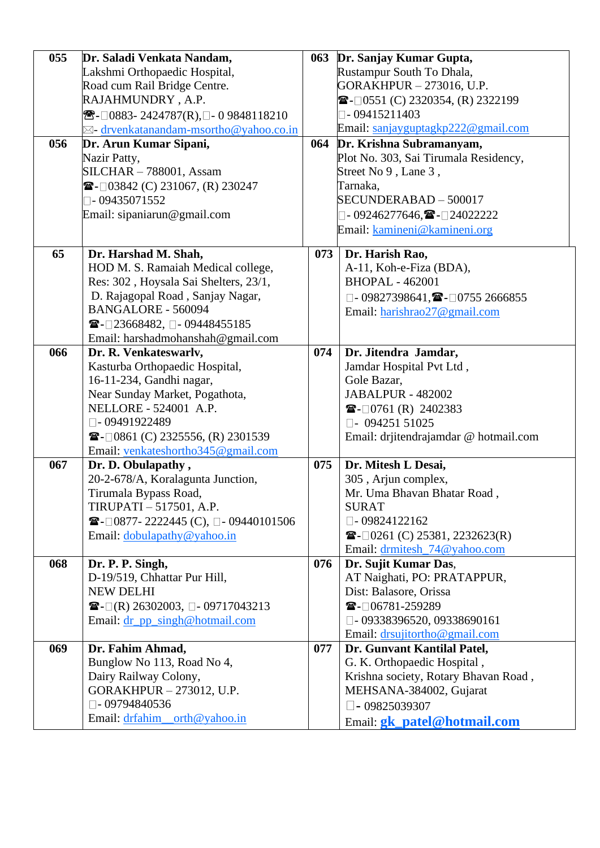| 055 | Dr. Saladi Venkata Nandam,                                                    |     | 063 Dr. Sanjay Kumar Gupta,                                   |
|-----|-------------------------------------------------------------------------------|-----|---------------------------------------------------------------|
|     | Lakshmi Orthopaedic Hospital,                                                 |     | Rustampur South To Dhala,                                     |
|     | Road cum Rail Bridge Centre.                                                  |     | GORAKHPUR - 273016, U.P.                                      |
|     | RAJAHMUNDRY, A.P.                                                             |     | $\mathbf{\widehat{m}}$ - $\Box$ 0551 (C) 2320354, (R) 2322199 |
|     | <sup>8</sup> $\mathbb{R}$ - □ 0883 - 2424787(R), □ - 0 9848118210             |     | $\Box$ - 09415211403                                          |
|     | $\boxtimes$ - drvenkatanandam-msortho@yahoo.co.in                             |     | Email: sanjayguptagkp222@gmail.com                            |
| 056 | Dr. Arun Kumar Sipani,                                                        | 064 | Dr. Krishna Subramanyam,                                      |
|     | Nazir Patty,                                                                  |     | Plot No. 303, Sai Tirumala Residency,                         |
|     | SILCHAR - 788001, Assam                                                       |     | Street No 9, Lane 3,                                          |
|     | $\blacksquare$ - 03842 (C) 231067, (R) 230247                                 |     | Tarnaka,                                                      |
|     | $\Box$ -09435071552                                                           |     | SECUNDERABAD - 500017                                         |
|     | Email: sipaniarun@gmail.com                                                   |     | $\Box$ -09246277646, $\blacksquare$ - $\Box$ 24022222         |
|     |                                                                               |     | Email: kamineni@kamineni.org                                  |
|     |                                                                               |     |                                                               |
| 65  | Dr. Harshad M. Shah,                                                          | 073 | Dr. Harish Rao,                                               |
|     | HOD M. S. Ramaiah Medical college,                                            |     | A-11, Koh-e-Fiza (BDA),                                       |
|     | Res: 302, Hoysala Sai Shelters, 23/1,                                         |     | <b>BHOPAL - 462001</b>                                        |
|     | D. Rajagopal Road, Sanjay Nagar,                                              |     | $\Box$ - 09827398641, $\blacksquare$ - $\Box$ 0755 2666855    |
|     | <b>BANGALORE - 560094</b>                                                     |     | Email: harishrao27@gmail.com                                  |
|     | $\blacksquare$ -□23668482, □ - 09448455185                                    |     |                                                               |
|     | Email: harshadmohanshah@gmail.com                                             |     |                                                               |
| 066 | Dr. R. Venkateswarlv,                                                         | 074 | Dr. Jitendra Jamdar,                                          |
|     | Kasturba Orthopaedic Hospital,                                                |     | Jamdar Hospital Pvt Ltd,                                      |
|     | 16-11-234, Gandhi nagar,                                                      |     | Gole Bazar,                                                   |
|     | Near Sunday Market, Pogathota,                                                |     | <b>JABALPUR - 482002</b>                                      |
|     | NELLORE - 524001 A.P.                                                         |     | $\bullet$ - $\Box$ 0761 (R) 2402383                           |
|     | □-09491922489                                                                 |     | $\Box$ - 094251 51025                                         |
|     | $\mathbf{\widehat{m}}$ - $\Box$ 0861 (C) 2325556, (R) 2301539                 |     | Email: drjitendrajamdar @ hotmail.com                         |
|     | Email: venkateshortho345@gmail.com                                            |     |                                                               |
| 067 | Dr. D. Obulapathy,                                                            | 075 | Dr. Mitesh L Desai,                                           |
|     | 20-2-678/A, Koralagunta Junction,                                             |     | 305, Arjun complex,                                           |
|     | Tirumala Bypass Road,                                                         |     | Mr. Uma Bhavan Bhatar Road,                                   |
|     | TIRUPATI - 517501, A.P.                                                       |     | <b>SURAT</b>                                                  |
|     | <b><math>\mathbf{E}</math></b> - $\Box$ 0877-2222445 (C), $\Box$ -09440101506 |     | $\Box$ -09824122162                                           |
|     | Email: dobulapathy@yahoo.in                                                   |     | $\mathbf{\widehat{m}}$ - $\Box$ 0261 (C) 25381, 2232623(R)    |
|     |                                                                               |     | Email: drmitesh_74@yahoo.com                                  |
| 068 | Dr. P. P. Singh,                                                              | 076 | Dr. Sujit Kumar Das,                                          |
|     | D-19/519, Chhattar Pur Hill,                                                  |     | AT Naighati, PO: PRATAPPUR,                                   |
|     | <b>NEW DELHI</b>                                                              |     | Dist: Balasore, Orissa                                        |
|     | $\mathbf{E}$ = □(R) 26302003, □ - 09717043213                                 |     | $\mathbf{\mathbb{Z}}$ - $\Box$ 06781-259289                   |
|     | Email: dr_pp_singh@hotmail.com                                                |     | $\Box$ -09338396520, 09338690161                              |
|     |                                                                               |     | Email: drsujitortho@gmail.com                                 |
| 069 | Dr. Fahim Ahmad,                                                              | 077 | Dr. Gunvant Kantilal Patel,                                   |
|     | Bunglow No 113, Road No 4,                                                    |     | G. K. Orthopaedic Hospital,                                   |
|     | Dairy Railway Colony,                                                         |     | Krishna society, Rotary Bhavan Road,                          |
|     | GORAKHPUR - 273012, U.P.                                                      |     | MEHSANA-384002, Gujarat                                       |
|     | $\square$ -09794840536                                                        |     | $\Box$ - 09825039307                                          |
|     | Email: drfahim_orth@yahoo.in                                                  |     | Email: gk_patel@hotmail.com                                   |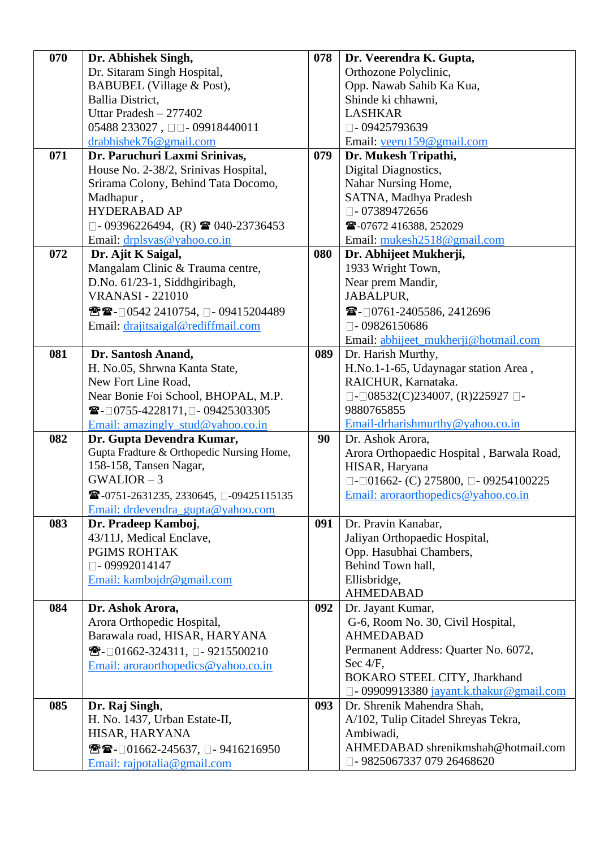| 070 | Dr. Abhishek Singh,                                                             | 078 | Dr. Veerendra K. Gupta,                                 |
|-----|---------------------------------------------------------------------------------|-----|---------------------------------------------------------|
|     | Dr. Sitaram Singh Hospital,                                                     |     | Orthozone Polyclinic,                                   |
|     | BABUBEL (Village & Post),                                                       |     | Opp. Nawab Sahib Ka Kua,                                |
|     | Ballia District,                                                                |     | Shinde ki chhawni,                                      |
|     | Uttar Pradesh - 277402                                                          |     | <b>LASHKAR</b>                                          |
|     | 05488 233027, $\Box$ - 09918440011                                              |     | $\Box$ -09425793639                                     |
|     | drabhishek76@gmail.com                                                          |     | Email: veeru159@gmail.com                               |
| 071 | Dr. Paruchuri Laxmi Srinivas,                                                   | 079 | Dr. Mukesh Tripathi,                                    |
|     | House No. 2-38/2, Srinivas Hospital,                                            |     | Digital Diagnostics,                                    |
|     | Srirama Colony, Behind Tata Docomo,                                             |     | Nahar Nursing Home,                                     |
|     | Madhapur,                                                                       |     | SATNA, Madhya Pradesh                                   |
|     | HYDERABAD AP                                                                    |     | $\Box$ -07389472656                                     |
|     | $\Box$ - 09396226494, (R) <b>a</b> 040-23736453                                 |     | 26-07672 416388, 252029                                 |
|     | Email: $drplsvas@yahoo.co.in$                                                   |     | Email: mukesh2518@gmail.com                             |
| 072 | Dr. Ajit K Saigal,                                                              | 080 | Dr. Abhijeet Mukherji,                                  |
|     | Mangalam Clinic & Trauma centre,                                                |     | 1933 Wright Town,                                       |
|     | D.No. 61/23-1, Siddhgiribagh,                                                   |     | Near prem Mandir,                                       |
|     | <b>VRANASI - 221010</b>                                                         |     | JABALPUR,                                               |
|     |                                                                                 |     |                                                         |
|     | ☎☎-□0542 2410754, □ - 09415204489                                               |     | $\blacksquare$ - 0761-2405586, 2412696                  |
|     | Email: drajitsaigal@rediffmail.com                                              |     | $\Box$ - 09826150686                                    |
|     |                                                                                 |     | Email: abhijeet_mukherji@hotmail.com                    |
| 081 | Dr. Santosh Anand,                                                              | 089 | Dr. Harish Murthy,                                      |
|     | H. No.05, Shrwna Kanta State,                                                   |     | H.No.1-1-65, Udaynagar station Area,                    |
|     | New Fort Line Road,                                                             |     | RAICHUR, Karnataka.                                     |
|     | Near Bonie Foi School, BHOPAL, M.P.                                             |     | $\Box$ - $\Box$ 08532(C)234007, (R)225927 $\Box$ -      |
|     | $\mathbf{\widehat{m}}$ -□0755-4228171,□-09425303305                             |     | 9880765855                                              |
|     | Email: amazingly_stud@yahoo.co.in                                               |     | Email-drharishmurthy@yahoo.co.in                        |
| 082 | Dr. Gupta Devendra Kumar,                                                       | 90  | Dr. Ashok Arora,                                        |
|     | Gupta Fradture & Orthopedic Nursing Home,                                       |     | Arora Orthopaedic Hospital, Barwala Road,               |
|     | 158-158, Tansen Nagar,                                                          |     | HISAR, Haryana                                          |
|     | $GWALIOR - 3$                                                                   |     | $\Box$ - $\Box$ 01662- (C) 275800, $\Box$ - 09254100225 |
|     | $\mathbf{\widehat{m}}$ -0751-2631235, 2330645, $\square$ -09425115135           |     | Email: aroraorthopedics@yahoo.co.in                     |
|     | Email: drdevendra gupta@yahoo.com                                               |     |                                                         |
| 083 | Dr. Pradeep Kamboj,                                                             | 091 | Dr. Pravin Kanabar,                                     |
|     | 43/11J, Medical Enclave,                                                        |     | Jaliyan Orthopaedic Hospital,                           |
|     | <b>PGIMS ROHTAK</b>                                                             |     | Opp. Hasubhai Chambers,                                 |
|     | $\square$ - 09992014147                                                         |     | Behind Town hall,                                       |
|     | Email: kambojdr@gmail.com                                                       |     | Ellisbridge,                                            |
|     |                                                                                 |     | <b>AHMEDABAD</b>                                        |
| 084 | Dr. Ashok Arora,                                                                | 092 | Dr. Jayant Kumar,                                       |
|     | Arora Orthopedic Hospital,                                                      |     | G-6, Room No. 30, Civil Hospital,                       |
|     | Barawala road, HISAR, HARYANA                                                   |     | <b>AHMEDABAD</b>                                        |
|     | <sup>8</sup> <del></del> <del>■</del> - $\Box$ 01662-324311, $\Box$ -9215500210 |     | Permanent Address: Quarter No. 6072,                    |
|     | Email: aroraorthopedics@yahoo.co.in                                             |     | Sec 4/F,                                                |
|     |                                                                                 |     | BOKARO STEEL CITY, Jharkhand                            |
|     |                                                                                 |     | $\square$ - 09909913380 jayant.k.thakur@gmail.com       |
| 085 | Dr. Raj Singh,                                                                  | 093 | Dr. Shrenik Mahendra Shah,                              |
|     | H. No. 1437, Urban Estate-II,                                                   |     | A/102, Tulip Citadel Shreyas Tekra,                     |
|     | HISAR, HARYANA                                                                  |     | Ambiwadi,                                               |
|     | <sup>8</sup> $^{\circ}$ <b>2</b> - □ 01662-245637, □ - 9416216950               |     | AHMEDABAD shrenikmshah@hotmail.com                      |
|     | Email: rajpotalia@gmail.com                                                     |     | □-9825067337 079 26468620                               |
|     |                                                                                 |     |                                                         |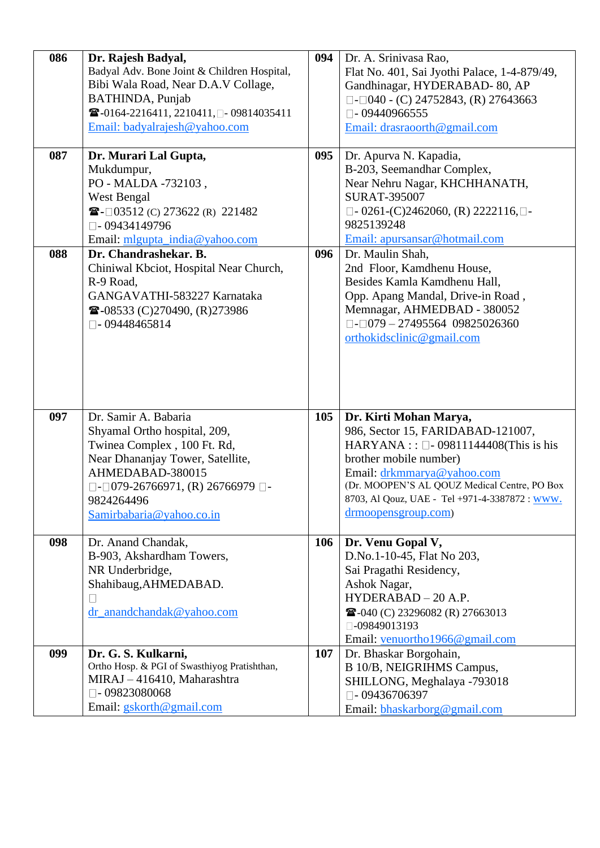| 086 | Dr. Rajesh Badyal,<br>Badyal Adv. Bone Joint & Children Hospital, | 094 | Dr. A. Srinivasa Rao,<br>Flat No. 401, Sai Jyothi Palace, 1-4-879/49,    |
|-----|-------------------------------------------------------------------|-----|--------------------------------------------------------------------------|
|     | Bibi Wala Road, Near D.A.V Collage,                               |     | Gandhinagar, HYDERABAD-80, AP                                            |
|     | <b>BATHINDA</b> , Punjab                                          |     | $\Box$ - $\Box$ 040 - (C) 24752843, (R) 27643663                         |
|     | ☎-0164-2216411, 2210411, □- 09814035411                           |     | $\square$ - 09440966555                                                  |
|     | Email: badyalrajesh@yahoo.com                                     |     | Email: drasraoorth@gmail.com                                             |
| 087 | Dr. Murari Lal Gupta,                                             | 095 | Dr. Apurva N. Kapadia,                                                   |
|     | Mukdumpur,                                                        |     | B-203, Seemandhar Complex,                                               |
|     | PO - MALDA -732103,                                               |     | Near Nehru Nagar, KHCHHANATH,<br><b>SURAT-395007</b>                     |
|     | West Bengal<br>$\blacksquare$ - 03512 (C) 273622 (R) 221482       |     | $\Box$ - 0261-(C)2462060, (R) 2222116, $\Box$ -                          |
|     | $\square$ - 09434149796                                           |     | 9825139248                                                               |
|     | Email: mlgupta_india@yahoo.com                                    |     | Email: apursansar@hotmail.com                                            |
| 088 | Dr. Chandrashekar. B.                                             | 096 | Dr. Maulin Shah,                                                         |
|     | Chiniwal Kbciot, Hospital Near Church,                            |     | 2nd Floor, Kamdhenu House,                                               |
|     | R-9 Road,                                                         |     | Besides Kamla Kamdhenu Hall,                                             |
|     | GANGAVATHI-583227 Karnataka                                       |     | Opp. Apang Mandal, Drive-in Road,                                        |
|     | <b><math>\bullet</math></b> -08533 (C)270490, (R)273986           |     | Memnagar, AHMEDBAD - 380052                                              |
|     | $\Box$ -09448465814                                               |     | $\Box$ - $\Box$ 079 - 27495564 09825026360                               |
|     |                                                                   |     | orthokidsclinic@gmail.com                                                |
|     |                                                                   |     |                                                                          |
|     |                                                                   |     |                                                                          |
|     |                                                                   |     |                                                                          |
|     |                                                                   |     |                                                                          |
| 097 | Dr. Samir A. Babaria                                              | 105 | Dr. Kirti Mohan Marya,                                                   |
|     | Shyamal Ortho hospital, 209,                                      |     | 986, Sector 15, FARIDABAD-121007,                                        |
|     | Twinea Complex, 100 Ft. Rd,                                       |     | HARYANA :: $\square$ - 09811144408(This is his<br>brother mobile number) |
|     | Near Dhananjay Tower, Satellite,<br>AHMEDABAD-380015              |     | Email: drkmmarya@yahoo.com                                               |
|     | $\Box$ - $\Box$ 079-26766971, (R) 26766979 $\Box$ -               |     | (Dr. MOOPEN'S AL QOUZ Medical Centre, PO Box                             |
|     | 9824264496                                                        |     | 8703, Al Qouz, UAE - Tel +971-4-3387872 : www.                           |
|     | Samirbabaria@yahoo.co.in                                          |     | drmoopensgroup.com)                                                      |
|     |                                                                   |     |                                                                          |
| 098 | Dr. Anand Chandak,                                                | 106 | Dr. Venu Gopal V,                                                        |
|     | B-903, Akshardham Towers,                                         |     | D.No.1-10-45, Flat No 203,                                               |
|     | NR Underbridge,                                                   |     | Sai Pragathi Residency,                                                  |
|     | Shahibaug, AHMEDABAD.                                             |     | Ashok Nagar,                                                             |
|     |                                                                   |     |                                                                          |
|     | $\Box$                                                            |     | HYDERABAD - 20 A.P.                                                      |
|     | dr_anandchandak@yahoo.com                                         |     | 27663013                                                                 |
|     |                                                                   |     | □-09849013193<br>Email: venuortho1966@gmail.com                          |
| 099 | Dr. G. S. Kulkarni,                                               | 107 | Dr. Bhaskar Borgohain,                                                   |
|     | Ortho Hosp. & PGI of Swasthiyog Pratishthan,                      |     | B 10/B, NEIGRIHMS Campus,                                                |
|     | MIRAJ - 416410, Maharashtra                                       |     | SHILLONG, Meghalaya -793018                                              |
|     | $\Box$ - 09823080068<br>Email: gskorth@gmail.com                  |     | $\Box$ -09436706397<br>Email: bhaskarborg@gmail.com                      |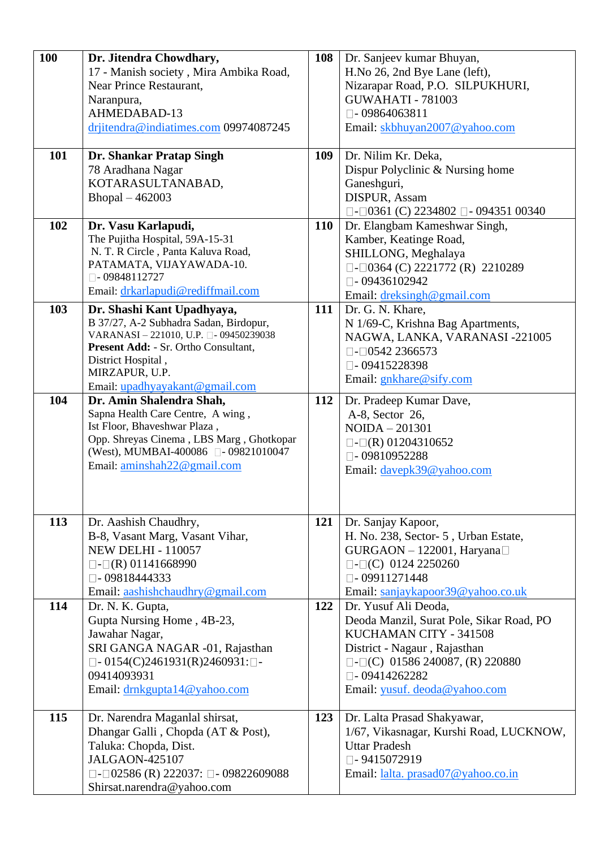| 100 | Dr. Jitendra Chowdhary,                                 | 108        | Dr. Sanjeev kumar Bhuyan,                              |
|-----|---------------------------------------------------------|------------|--------------------------------------------------------|
|     | 17 - Manish society, Mira Ambika Road,                  |            | H.No 26, 2nd Bye Lane (left),                          |
|     | Near Prince Restaurant,                                 |            | Nizarapar Road, P.O. SILPUKHURI,                       |
|     | Naranpura,                                              |            | <b>GUWAHATI - 781003</b>                               |
|     | AHMEDABAD-13                                            |            | $\Box$ -09864063811                                    |
|     | drjitendra@indiatimes.com 09974087245                   |            | Email: skbhuyan2007@yahoo.com                          |
|     |                                                         |            |                                                        |
| 101 | <b>Dr. Shankar Pratap Singh</b>                         | 109        | Dr. Nilim Kr. Deka,                                    |
|     | 78 Aradhana Nagar                                       |            | Dispur Polyclinic & Nursing home                       |
|     | KOTARASULTANABAD,                                       |            | Ganeshguri,                                            |
|     | Bhopal $-462003$                                        |            | DISPUR, Assam                                          |
|     |                                                         |            | $\Box$ - $\Box$ 0361 (C) 2234802 $\Box$ - 094351 00340 |
| 102 | Dr. Vasu Karlapudi,                                     | <b>110</b> | Dr. Elangbam Kameshwar Singh,                          |
|     | The Pujitha Hospital, 59A-15-31                         |            | Kamber, Keatinge Road,                                 |
|     | N. T. R Circle, Panta Kaluva Road,                      |            | SHILLONG, Meghalaya                                    |
|     | PATAMATA, VIJAYAWADA-10.                                |            | $\Box$ - $\Box$ 0364 (C) 2221772 (R) 2210289           |
|     | $\Box$ -09848112727                                     |            | $\Box$ - 09436102942                                   |
|     | Email: drkarlapudi@rediffmail.com                       |            | Email: $d$ reksingh@gmail.com                          |
| 103 | Dr. Shashi Kant Upadhyaya,                              | 111        | Dr. G. N. Khare,                                       |
|     | B 37/27, A-2 Subhadra Sadan, Birdopur,                  |            | N 1/69-C, Krishna Bag Apartments,                      |
|     | VARANASI - 221010, U.P. □ - 09450239038                 |            | NAGWA, LANKA, VARANASI -221005                         |
|     | Present Add: - Sr. Ortho Consultant,                    |            | $\Box$ - $\Box$ 0542 2366573                           |
|     | District Hospital,                                      |            | $\square$ - 09415228398                                |
|     | MIRZAPUR, U.P.                                          |            |                                                        |
|     | Email: upadhyayakant@gmail.com                          |            | Email: gnkhare@sify.com                                |
| 104 | Dr. Amin Shalendra Shah,                                | 112        | Dr. Pradeep Kumar Dave,                                |
|     | Sapna Health Care Centre, A wing,                       |            | A-8, Sector 26,                                        |
|     | Ist Floor, Bhaveshwar Plaza,                            |            | $NOIDA - 201301$                                       |
|     | Opp. Shreyas Cinema, LBS Marg, Ghotkopar                |            | $\Box$ - $\Box$ (R) 01204310652                        |
|     | (West), MUMBAI-400086 2-09821010047                     |            | $\Box$ -09810952288                                    |
|     | Email: aminshah22@gmail.com                             |            | Email: davepk39@yahoo.com                              |
|     |                                                         |            |                                                        |
|     |                                                         |            |                                                        |
| 113 | Dr. Aashish Chaudhry,                                   | 121        | Dr. Sanjay Kapoor,                                     |
|     | B-8, Vasant Marg, Vasant Vihar,                         |            | H. No. 238, Sector- 5, Urban Estate,                   |
|     | <b>NEW DELHI - 110057</b>                               |            | $GURGAON - 122001$ , Haryana                           |
|     |                                                         |            | $\Box$ - $\Box$ (C) 0124 2250260                       |
|     | $\Box$ - $\Box$ (R) 01141668990<br>$\Box$ - 09818444333 |            | $\Box$ - 09911271448                                   |
|     | Email: aashishchaudhry@gmail.com                        |            | Email: sanjaykapoor39@yahoo.co.uk                      |
| 114 | Dr. N. K. Gupta,                                        | 122        | Dr. Yusuf Ali Deoda,                                   |
|     | Gupta Nursing Home, 4B-23,                              |            | Deoda Manzil, Surat Pole, Sikar Road, PO               |
|     | Jawahar Nagar,                                          |            | KUCHAMAN CITY - 341508                                 |
|     |                                                         |            |                                                        |
|     | SRI GANGA NAGAR -01, Rajasthan                          |            | District - Nagaur, Rajasthan                           |
|     | $\Box$ - 0154(C)2461931(R)2460931: $\Box$ -             |            | $\Box$ - $\Box$ (C) 01586 240087, (R) 220880           |
|     | 09414093931                                             |            | $\square$ - 09414262282                                |
|     | Email: drnkgupta14@yahoo.com                            |            | Email: yusuf. deoda@yahoo.com                          |
| 115 | Dr. Narendra Maganlal shirsat,                          | 123        | Dr. Lalta Prasad Shakyawar,                            |
|     | Dhangar Galli, Chopda (AT & Post),                      |            | 1/67, Vikasnagar, Kurshi Road, LUCKNOW,                |
|     | Taluka: Chopda, Dist.                                   |            | <b>Uttar Pradesh</b>                                   |
|     | <b>JALGAON-425107</b>                                   |            | $\square$ - 9415072919                                 |
|     | □-□02586 (R) 222037: □- 09822609088                     |            | Email: lalta. prasad07@yahoo.co.in                     |
|     | Shirsat.narendra@yahoo.com                              |            |                                                        |
|     |                                                         |            |                                                        |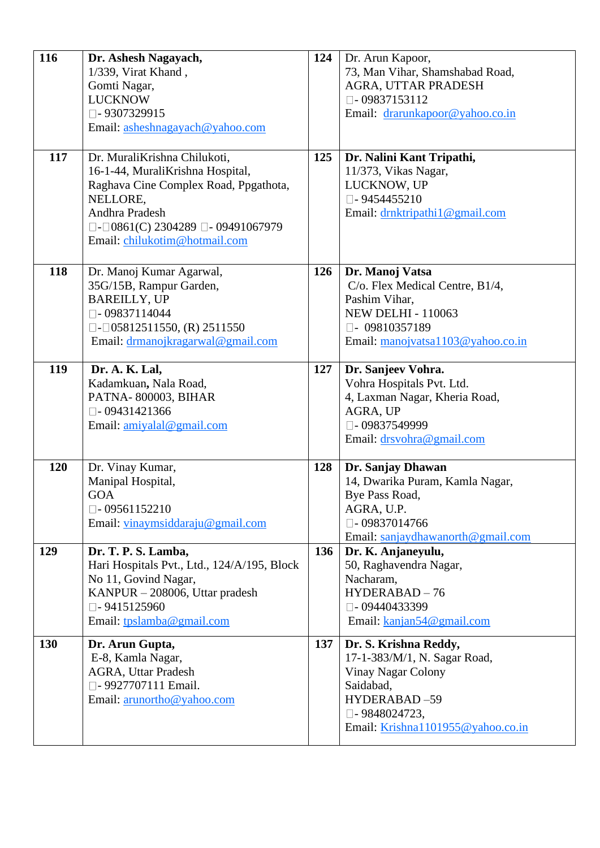| 116 | Dr. Ashesh Nagayach,                                 | 124 | Dr. Arun Kapoor,                  |
|-----|------------------------------------------------------|-----|-----------------------------------|
|     | 1/339, Virat Khand,                                  |     | 73, Man Vihar, Shamshabad Road,   |
|     | Gomti Nagar,                                         |     | AGRA, UTTAR PRADESH               |
|     | <b>LUCKNOW</b>                                       |     | $\Box$ -09837153112               |
|     | $\square$ - 9307329915                               |     | Email: drarunkapoor@yahoo.co.in   |
|     | Email: asheshnagayach@yahoo.com                      |     |                                   |
|     |                                                      |     |                                   |
| 117 | Dr. MuraliKrishna Chilukoti,                         | 125 | Dr. Nalini Kant Tripathi,         |
|     | 16-1-44, MuraliKrishna Hospital,                     |     | 11/373, Vikas Nagar,              |
|     | Raghava Cine Complex Road, Ppgathota,                |     | LUCKNOW, UP                       |
|     | NELLORE,                                             |     | $\square$ - 9454455210            |
|     | Andhra Pradesh                                       |     | Email: drnktripathi1@gmail.com    |
|     | $\Box$ - $\Box$ 0861(C) 2304289 $\Box$ - 09491067979 |     |                                   |
|     | Email: chilukotim@hotmail.com                        |     |                                   |
|     |                                                      |     |                                   |
| 118 | Dr. Manoj Kumar Agarwal,                             | 126 | Dr. Manoj Vatsa                   |
|     | 35G/15B, Rampur Garden,                              |     | C/o. Flex Medical Centre, B1/4,   |
|     | <b>BAREILLY, UP</b>                                  |     | Pashim Vihar,                     |
|     | $\Box$ - 09837114044                                 |     | <b>NEW DELHI - 110063</b>         |
|     | $\Box$ - $\Box$ 05812511550, (R) 2511550             |     | $\Box$ - 09810357189              |
|     | Email: drmanojkragarwal@gmail.com                    |     | Email: manojvatsa1103@yahoo.co.in |
|     |                                                      |     |                                   |
| 119 | Dr. A. K. Lal,                                       | 127 | Dr. Sanjeev Vohra.                |
|     | Kadamkuan, Nala Road,                                |     | Vohra Hospitals Pvt. Ltd.         |
|     | PATNA-800003, BIHAR                                  |     | 4, Laxman Nagar, Kheria Road,     |
|     | $\Box$ -09431421366                                  |     | AGRA, UP                          |
|     | Email: amiyalal@gmail.com                            |     | □-09837549999                     |
|     |                                                      |     | Email: drsvohra@gmail.com         |
|     |                                                      |     |                                   |
| 120 | Dr. Vinay Kumar,                                     | 128 | Dr. Sanjay Dhawan                 |
|     | Manipal Hospital,                                    |     | 14, Dwarika Puram, Kamla Nagar,   |
|     | <b>GOA</b>                                           |     | Bye Pass Road,                    |
|     | $\Box$ - 09561152210                                 |     | AGRA, U.P.                        |
|     | Email: vinaymsiddaraju@gmail.com                     |     | $\square$ - 09837014766           |
|     |                                                      |     | Email: sanjaydhawanorth@gmail.com |
| 129 | Dr. T. P. S. Lamba,                                  | 136 | Dr. K. Anjaneyulu,                |
|     | Hari Hospitals Pvt., Ltd., 124/A/195, Block          |     | 50, Raghavendra Nagar,            |
|     | No 11, Govind Nagar,                                 |     | Nacharam,                         |
|     | KANPUR – 208006, Uttar pradesh                       |     | HYDERABAD-76                      |
|     | $\Box$ - 9415125960                                  |     | $\square$ - 09440433399           |
|     | Email: tpslamba@gmail.com                            |     | Email: kanjan54@gmail.com         |
| 130 | Dr. Arun Gupta,                                      | 137 | Dr. S. Krishna Reddy,             |
|     | E-8, Kamla Nagar,                                    |     | 17-1-383/M/1, N. Sagar Road,      |
|     | <b>AGRA, Uttar Pradesh</b>                           |     | Vinay Nagar Colony                |
|     | □-9927707111 Email.                                  |     | Saidabad,                         |
|     | Email: arunortho@yahoo.com                           |     | HYDERABAD-59                      |
|     |                                                      |     | $\square$ - 9848024723,           |
|     |                                                      |     | Email: Krishna1101955@yahoo.co.in |
|     |                                                      |     |                                   |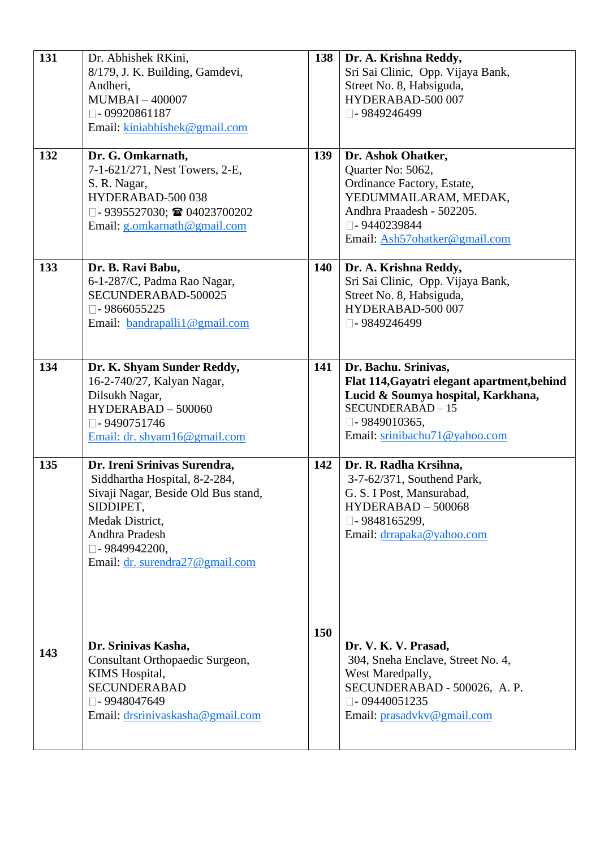| 131 | Dr. Abhishek RKini,<br>8/179, J. K. Building, Gamdevi,<br>Andheri,<br><b>MUMBAI-400007</b><br>$\square$ -09920861187<br>Email: kiniabhishek@gmail.com                                                        | 138 | Dr. A. Krishna Reddy,<br>Sri Sai Clinic, Opp. Vijaya Bank,<br>Street No. 8, Habsiguda,<br>HYDERABAD-500 007<br>□-9849246499                                                              |
|-----|--------------------------------------------------------------------------------------------------------------------------------------------------------------------------------------------------------------|-----|------------------------------------------------------------------------------------------------------------------------------------------------------------------------------------------|
| 132 | Dr. G. Omkarnath,<br>7-1-621/271, Nest Towers, 2-E,<br>S. R. Nagar,<br>HYDERABAD-500 038<br>□-9395527030; ■ 04023700202<br>Email: g.omkarnath@gmail.com                                                      | 139 | Dr. Ashok Ohatker,<br>Quarter No: 5062,<br>Ordinance Factory, Estate,<br>YEDUMMAILARAM, MEDAK,<br>Andhra Praadesh - 502205.<br>$\square$ - 9440239844<br>Email: Ash57ohatker@gmail.com   |
| 133 | Dr. B. Ravi Babu,<br>6-1-287/C, Padma Rao Nagar,<br>SECUNDERABAD-500025<br>$\Box$ -9866055225<br>Email: bandrapalli1@gmail.com                                                                               | 140 | Dr. A. Krishna Reddy,<br>Sri Sai Clinic, Opp. Vijaya Bank,<br>Street No. 8, Habsiguda,<br>HYDERABAD-500 007<br>□-9849246499                                                              |
| 134 | Dr. K. Shyam Sunder Reddy,<br>16-2-740/27, Kalyan Nagar,<br>Dilsukh Nagar,<br>HYDERABAD - 500060<br>□-9490751746<br>Email: dr. shyam16@gmail.com                                                             | 141 | Dr. Bachu. Srinivas,<br>Flat 114, Gayatri elegant apartment, behind<br>Lucid & Soumya hospital, Karkhana,<br>SECUNDERABAD-15<br>$\square$ - 9849010365,<br>Email: srinibachu71@yahoo.com |
| 135 | Dr. Ireni Srinivas Surendra,<br>Siddhartha Hospital, 8-2-284,<br>Sivaji Nagar, Beside Old Bus stand,<br>SIDDIPET,<br>Medak District,<br>Andhra Pradesh<br>□ - 9849942200,<br>Email: dr. surendra27@gmail.com | 142 | Dr. R. Radha Krsihna,<br>3-7-62/371, Southend Park,<br>G. S. I Post, Mansurabad,<br>HYDERABAD - 500068<br>$\Box$ - 9848165299,<br>Email: drrapaka@yahoo.com                              |
| 143 | Dr. Srinivas Kasha,<br>Consultant Orthopaedic Surgeon,<br>KIMS Hospital,<br><b>SECUNDERABAD</b><br>□-9948047649<br>Email: drsrinivaskasha@gmail.com                                                          | 150 | Dr. V. K. V. Prasad,<br>304, Sneha Enclave, Street No. 4,<br>West Maredpally,<br>SECUNDERABAD - 500026, A.P.<br>$\Box$ - 09440051235<br>Email: prasadvkv@gmail.com                       |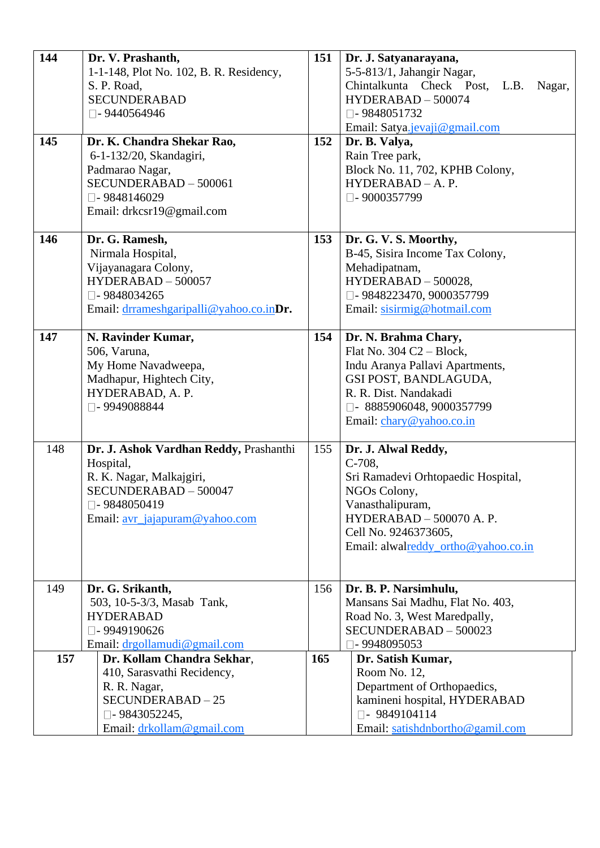| 144<br>145 | Dr. V. Prashanth,<br>1-1-148, Plot No. 102, B. R. Residency,<br>S. P. Road,<br><b>SECUNDERABAD</b><br>$\square$ - 9440564946<br>Dr. K. Chandra Shekar Rao,<br>6-1-132/20, Skandagiri,<br>Padmarao Nagar,<br>SECUNDERABAD - 500061 | 151<br>152 | Dr. J. Satyanarayana,<br>5-5-813/1, Jahangir Nagar,<br>Chintalkunta Check Post, L.B.<br>Nagar,<br>HYDERABAD - 500074<br>$\Box$ -9848051732<br>Email: Satya.jevaji@gmail.com<br>Dr. B. Valya,<br>Rain Tree park,<br>Block No. 11, 702, KPHB Colony,<br>HYDERABAD - A. P. |
|------------|-----------------------------------------------------------------------------------------------------------------------------------------------------------------------------------------------------------------------------------|------------|-------------------------------------------------------------------------------------------------------------------------------------------------------------------------------------------------------------------------------------------------------------------------|
| 146        | $\square$ - 9848146029<br>Email: drkcsr19@gmail.com<br>Dr. G. Ramesh,<br>Nirmala Hospital,<br>Vijayanagara Colony,<br>HYDERABAD - 500057<br>$\square$ - 9848034265<br>Email: drrameshgaripalli@yahoo.co.inDr.                     | 153        | $\square$ - 9000357799<br>Dr. G. V. S. Moorthy,<br>B-45, Sisira Income Tax Colony,<br>Mehadipatnam,<br>HYDERABAD - 500028,<br>□ - 9848223470, 9000357799<br>Email: sisirmig@hotmail.com                                                                                 |
| 147        | N. Ravinder Kumar,<br>506, Varuna,<br>My Home Navadweepa,<br>Madhapur, Hightech City,<br>HYDERABAD, A. P.<br>□-9949088844                                                                                                         | 154        | Dr. N. Brahma Chary,<br>Flat No. $304 C2 - Block$ ,<br>Indu Aranya Pallavi Apartments,<br>GSI POST, BANDLAGUDA,<br>R. R. Dist. Nandakadi<br>□- 8885906048, 9000357799<br>Email: chary@yahoo.co.in                                                                       |
| 148        | Dr. J. Ashok Vardhan Reddy, Prashanthi<br>Hospital,<br>R. K. Nagar, Malkajgiri,<br>SECUNDERABAD - 500047<br>□-9848050419<br>Email: avr_jajapuram@yahoo.com                                                                        | 155        | Dr. J. Alwal Reddy,<br>$C-708$ ,<br>Sri Ramadevi Orhtopaedic Hospital,<br>NGOs Colony,<br>Vanasthalipuram,<br>HYDERABAD - 500070 A.P.<br>Cell No. 9246373605,<br>Email: alwalreddy_ortho@yahoo.co.in                                                                    |
| 149        | Dr. G. Srikanth,<br>503, 10-5-3/3, Masab Tank,                                                                                                                                                                                    | 156        | Dr. B. P. Narsimhulu,<br>Mansans Sai Madhu, Flat No. 403,                                                                                                                                                                                                               |
|            | <b>HYDERABAD</b><br>□-9949190626<br>Email: drgollamudi@gmail.com                                                                                                                                                                  |            | Road No. 3, West Maredpally,<br>SECUNDERABAD - 500023<br>$\square$ - 9948095053                                                                                                                                                                                         |
| 157        | Dr. Kollam Chandra Sekhar,<br>410, Sarasvathi Recidency,<br>R. R. Nagar,<br>SECUNDERABAD-25<br>$\Box$ - 9843052245,<br>Email: drkollam@gmail.com                                                                                  | 165        | Dr. Satish Kumar,<br>Room No. 12,<br>Department of Orthopaedics,<br>kamineni hospital, HYDERABAD<br>$\square$ - 9849104114<br>Email: satishdnbortho@gamil.com                                                                                                           |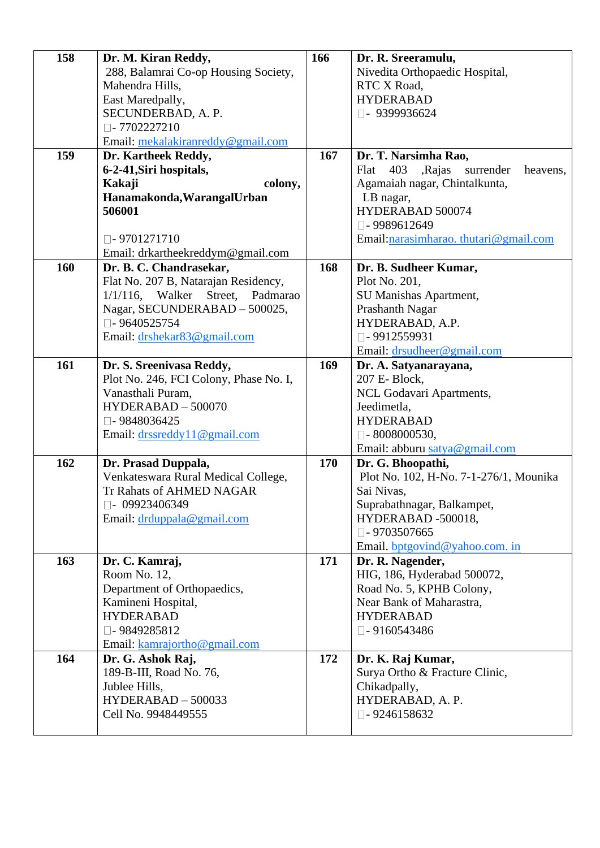| 158 | Dr. M. Kiran Reddy,                    | 166        | Dr. R. Sreeramulu,                             |
|-----|----------------------------------------|------------|------------------------------------------------|
|     | 288, Balamrai Co-op Housing Society,   |            | Nivedita Orthopaedic Hospital,                 |
|     | Mahendra Hills,                        |            | RTC X Road,                                    |
|     | East Maredpally,                       |            | <b>HYDERABAD</b>                               |
|     | SECUNDERBAD, A.P.                      |            | $\Box$ - 9399936624                            |
|     | $\Box$ -7702227210                     |            |                                                |
|     | Email: mekalakiranreddy@gmail.com      |            |                                                |
| 159 | Dr. Kartheek Reddy,                    | 167        | Dr. T. Narsimha Rao,                           |
|     | 6-2-41, Siri hospitals,                |            | 403<br>,Rajas<br>surrender<br>Flat<br>heavens, |
|     | colony,<br>Kakaji                      |            | Agamaiah nagar, Chintalkunta,                  |
|     | Hanamakonda, Warangal Urban            |            | LB nagar,                                      |
|     | 506001                                 |            | HYDERABAD 500074                               |
|     |                                        |            | $\Box$ -9989612649                             |
|     | $\Box$ -9701271710                     |            | Email: narasimharao. thutari@gmail.com         |
|     | Email: drkartheekreddym@gmail.com      |            |                                                |
| 160 | Dr. B. C. Chandrasekar,                | 168        | Dr. B. Sudheer Kumar,                          |
|     | Flat No. 207 B, Natarajan Residency,   |            | Plot No. 201,                                  |
|     | 1/1/116, Walker Street, Padmarao       |            | SU Manishas Apartment,                         |
|     | Nagar, SECUNDERABAD - 500025,          |            | Prashanth Nagar                                |
|     | $\Box$ - 9640525754                    |            | HYDERABAD, A.P.                                |
|     | Email: drshekar83@gmail.com            |            | $\square$ - 9912559931                         |
|     |                                        |            | Email: drsudheer@gmail.com                     |
| 161 | Dr. S. Sreenivasa Reddy,               | 169        | Dr. A. Satyanarayana,                          |
|     | Plot No. 246, FCI Colony, Phase No. I, |            | 207 E- Block,                                  |
|     | Vanasthali Puram,                      |            | NCL Godavari Apartments,                       |
|     | HYDERABAD - 500070                     |            | Jeedimetla,                                    |
|     | □-9848036425                           |            | <b>HYDERABAD</b>                               |
|     | Email: drssreddy11@gmail.com           |            | $\Box$ -8008000530,                            |
|     |                                        |            | Email: abburu satya@gmail.com                  |
| 162 | Dr. Prasad Duppala,                    | <b>170</b> | Dr. G. Bhoopathi,                              |
|     | Venkateswara Rural Medical College,    |            | Plot No. 102, H-No. 7-1-276/1, Mounika         |
|     | Tr Rahats of AHMED NAGAR               |            | Sai Nivas,                                     |
|     | $\square$ - 09923406349                |            | Suprabathnagar, Balkampet,                     |
|     | Email: drduppala@gmail.com             |            | HYDERABAD -500018,                             |
|     |                                        |            | $\square$ - 9703507665                         |
|     |                                        |            | Email. bptgovind@yahoo.com. in                 |
| 163 | Dr. C. Kamraj,                         | 171        | Dr. R. Nagender,                               |
|     | Room No. 12,                           |            | HIG, 186, Hyderabad 500072,                    |
|     | Department of Orthopaedics,            |            | Road No. 5, KPHB Colony,                       |
|     | Kamineni Hospital,                     |            | Near Bank of Maharastra,                       |
|     | <b>HYDERABAD</b>                       |            | <b>HYDERABAD</b>                               |
|     | $\square$ - 9849285812                 |            | $\square$ - 9160543486                         |
|     | Email: kamrajortho@gmail.com           |            |                                                |
| 164 | Dr. G. Ashok Raj,                      | 172        | Dr. K. Raj Kumar,                              |
|     | 189-B-III, Road No. 76,                |            | Surya Ortho & Fracture Clinic,                 |
|     | Jublee Hills,                          |            | Chikadpally,                                   |
|     | HYDERABAD - 500033                     |            | HYDERABAD, A. P.                               |
|     | Cell No. 9948449555                    |            | $\Box$ -9246158632                             |
|     |                                        |            |                                                |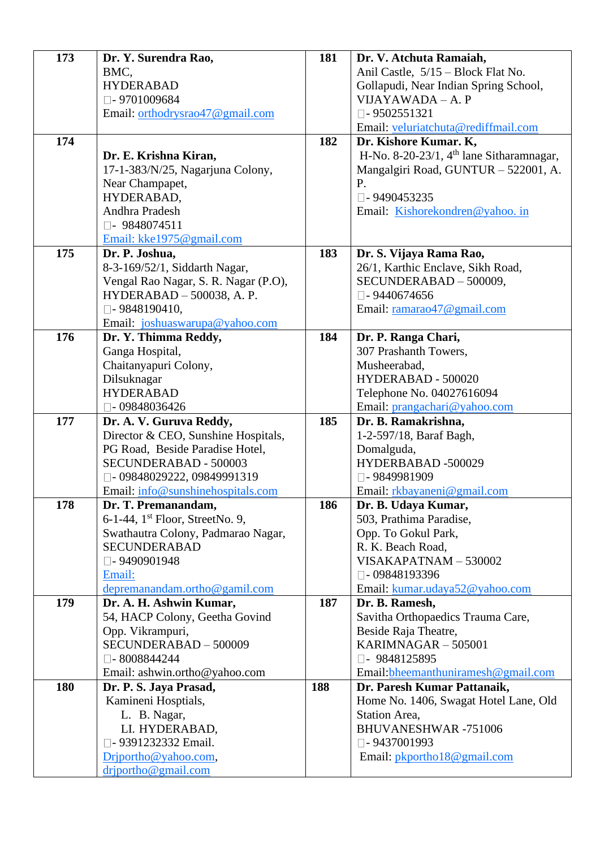| 173 | Dr. Y. Surendra Rao,                                                   | 181 | Dr. V. Atchuta Ramaiah,                    |
|-----|------------------------------------------------------------------------|-----|--------------------------------------------|
|     | BMC,                                                                   |     | Anil Castle, 5/15 – Block Flat No.         |
|     | <b>HYDERABAD</b>                                                       |     | Gollapudi, Near Indian Spring School,      |
|     | $\square$ - 9701009684                                                 |     | VIJAYAWADA - A. P                          |
|     | Email: orthodrysrao47@gmail.com                                        |     | $\Box$ -9502551321                         |
|     |                                                                        |     | Email: veluriatchuta@rediffmail.com        |
| 174 |                                                                        | 182 | Dr. Kishore Kumar. K,                      |
|     | Dr. E. Krishna Kiran,                                                  |     | H-No. 8-20-23/1, $4th$ lane Sitharamnagar, |
|     | 17-1-383/N/25, Nagarjuna Colony,                                       |     | Mangalgiri Road, GUNTUR - 522001, A.       |
|     | Near Champapet,                                                        |     | P.                                         |
|     | HYDERABAD,                                                             |     | $\square$ - 9490453235                     |
|     | Andhra Pradesh                                                         |     | Email: Kishorekondren@yahoo.in             |
|     | $\Box$ - 9848074511                                                    |     |                                            |
|     | Email: kke1975@gmail.com                                               |     |                                            |
| 175 | Dr. P. Joshua,                                                         | 183 | Dr. S. Vijaya Rama Rao,                    |
|     | 8-3-169/52/1, Siddarth Nagar,                                          |     | 26/1, Karthic Enclave, Sikh Road,          |
|     | Vengal Rao Nagar, S. R. Nagar (P.O),                                   |     | SECUNDERABAD - 500009,                     |
|     | HYDERABAD - 500038, A. P.                                              |     | $\square$ - 9440674656                     |
|     | $\square$ - 9848190410,                                                |     | Email: ramarao47@gmail.com                 |
|     | Email: joshuaswarupa@yahoo.com                                         |     |                                            |
| 176 | Dr. Y. Thimma Reddy,                                                   | 184 | Dr. P. Ranga Chari,                        |
|     | Ganga Hospital,                                                        |     | 307 Prashanth Towers,                      |
|     | Chaitanyapuri Colony,                                                  |     | Musheerabad,                               |
|     | Dilsuknagar                                                            |     | HYDERABAD - 500020                         |
|     | <b>HYDERABAD</b>                                                       |     | Telephone No. 04027616094                  |
|     | $\square$ - 09848036426                                                |     | Email: prangachari@yahoo.com               |
| 177 | Dr. A. V. Guruva Reddy,                                                | 185 | Dr. B. Ramakrishna,                        |
|     | Director & CEO, Sunshine Hospitals,<br>PG Road, Beside Paradise Hotel, |     | 1-2-597/18, Baraf Bagh,<br>Domalguda,      |
|     | SECUNDERABAD - 500003                                                  |     | HYDERBABAD -500029                         |
|     | □-09848029222,09849991319                                              |     | □-9849981909                               |
|     | Email: info@sunshinehospitals.com                                      |     | Email: rkbayaneni@gmail.com                |
| 178 | Dr. T. Premanandam,                                                    | 186 | Dr. B. Udaya Kumar,                        |
|     | 6-1-44, 1 <sup>st</sup> Floor, StreetNo. 9,                            |     | 503, Prathima Paradise,                    |
|     | Swathautra Colony, Padmarao Nagar,                                     |     | Opp. To Gokul Park,                        |
|     | <b>SECUNDERABAD</b>                                                    |     | R. K. Beach Road,                          |
|     | □-9490901948                                                           |     | VISAKAPATNAM-530002                        |
|     | Email:                                                                 |     | □-09848193396                              |
|     | depremanandam.ortho@gamil.com                                          |     | Email: kumar.udaya52@yahoo.com             |
| 179 | Dr. A. H. Ashwin Kumar,                                                | 187 | Dr. B. Ramesh,                             |
|     | 54, HACP Colony, Geetha Govind                                         |     | Savitha Orthopaedics Trauma Care,          |
|     | Opp. Vikrampuri,                                                       |     | Beside Raja Theatre,                       |
|     | SECUNDERABAD - 500009                                                  |     | KARIMNAGAR - 505001                        |
|     | $\square$ - 8008844244                                                 |     | □- 9848125895                              |
|     | Email: ashwin.ortho@yahoo.com                                          |     | Email: bheemanthuniramesh@gmail.com        |
| 180 | Dr. P. S. Jaya Prasad,                                                 | 188 | Dr. Paresh Kumar Pattanaik,                |
|     | Kamineni Hosptials,                                                    |     | Home No. 1406, Swagat Hotel Lane, Old      |
|     | L. B. Nagar,                                                           |     | Station Area,                              |
|     | LI. HYDERABAD,                                                         |     | <b>BHUVANESHWAR-751006</b>                 |
|     | □ - 9391232332 Email.                                                  |     | $\square$ - 9437001993                     |
|     |                                                                        |     |                                            |
|     | Driportho@yahoo.com,<br>driportho@gmail.com                            |     | Email: pkportho18@gmail.com                |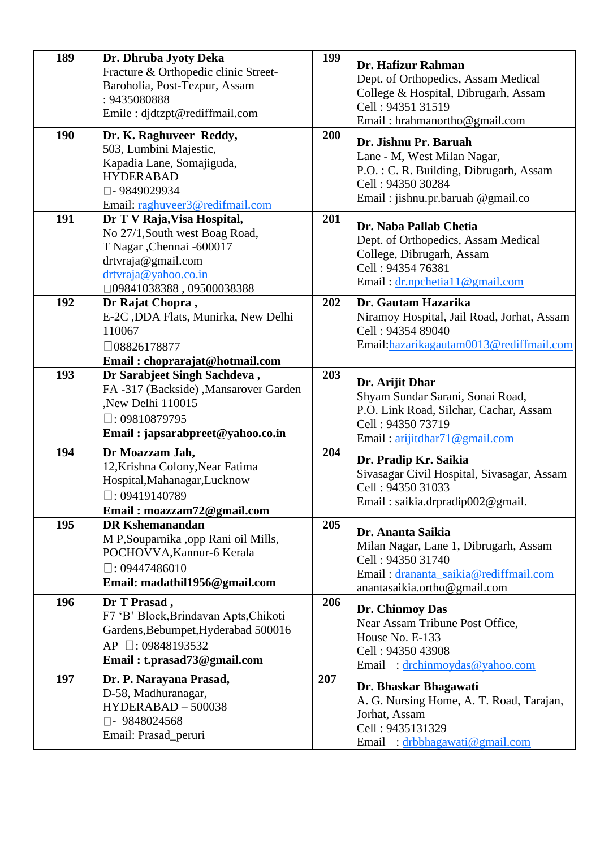| 189 | Dr. Dhruba Jyoty Deka<br>Fracture & Orthopedic clinic Street-<br>Baroholia, Post-Tezpur, Assam                                                                                 | 199 | Dr. Hafizur Rahman<br>Dept. of Orthopedics, Assam Medical                                                                                                |
|-----|--------------------------------------------------------------------------------------------------------------------------------------------------------------------------------|-----|----------------------------------------------------------------------------------------------------------------------------------------------------------|
|     | : 9435080888<br>Emile : djdtzpt@rediffmail.com                                                                                                                                 |     | College & Hospital, Dibrugarh, Assam<br>Cell: 94351 31519<br>Email: hrahmanortho@gmail.com                                                               |
| 190 | Dr. K. Raghuveer Reddy,<br>503, Lumbini Majestic,<br>Kapadia Lane, Somajiguda,<br><b>HYDERABAD</b><br>□-9849029934<br>Email: raghuveer3@redifmail.com                          | 200 | Dr. Jishnu Pr. Baruah<br>Lane - M, West Milan Nagar,<br>P.O.: C. R. Building, Dibrugarh, Assam<br>Cell: 94350 30284<br>Email: jishnu.pr.baruah @gmail.co |
| 191 | Dr T V Raja, Visa Hospital,<br>No 27/1, South west Boag Road,<br>T Nagar , Chennai -600017<br>drtvraja@gmail.com<br>drtvraja@yahoo.co.in<br>$\square$ 09841038388, 09500038388 | 201 | Dr. Naba Pallab Chetia<br>Dept. of Orthopedics, Assam Medical<br>College, Dibrugarh, Assam<br>Cell: 94354 76381<br>Email: dr.npchetia11@gmail.com        |
| 192 | Dr Rajat Chopra,<br>E-2C , DDA Flats, Munirka, New Delhi<br>110067<br>$\Box$ 08826178877<br>Email: choprarajat@hotmail.com                                                     | 202 | Dr. Gautam Hazarika<br>Niramoy Hospital, Jail Road, Jorhat, Assam<br>Cell: 94354 89040<br>Email:hazarikagautam0013@rediffmail.com                        |
| 193 | Dr Sarabjeet Singh Sachdeva,<br>FA-317 (Backside), Mansarover Garden<br>,New Delhi 110015<br>$\Box$ : 09810879795<br>Email: japsarabpreet@yahoo.co.in                          | 203 | Dr. Arijit Dhar<br>Shyam Sundar Sarani, Sonai Road,<br>P.O. Link Road, Silchar, Cachar, Assam<br>Cell: 94350 73719<br>Email: arijitdhar71@gmail.com      |
| 194 | Dr Moazzam Jah,<br>12, Krishna Colony, Near Fatima<br>Hospital, Mahanagar, Lucknow<br>$\Box$ : 09419140789<br>Email: moazzam72@gmail.com                                       | 204 | Dr. Pradip Kr. Saikia<br>Sivasagar Civil Hospital, Sivasagar, Assam<br>Cell: 94350 31033<br>Email: saikia.drpradip002@gmail.                             |
| 195 | <b>DR Kshemanandan</b><br>M P, Souparnika , opp Rani oil Mills,<br>POCHOVVA, Kannur-6 Kerala<br>$\square$ : 09447486010<br>Email: madathil1956@gmail.com                       | 205 | Dr. Ananta Saikia<br>Milan Nagar, Lane 1, Dibrugarh, Assam<br>Cell: 94350 31740<br>Email: drananta_saikia@rediffmail.com<br>anantasaikia.ortho@gmail.com |
| 196 | Dr T Prasad,<br>F7 'B' Block, Brindavan Apts, Chikoti<br>Gardens, Bebumpet, Hyderabad 500016<br>AP □: 09848193532<br>Email: t.prasad73@gmail.com                               | 206 | Dr. Chinmoy Das<br>Near Assam Tribune Post Office,<br>House No. E-133<br>Cell: 94350 43908<br>Email : drchinmoydas@yahoo.com                             |
| 197 | Dr. P. Narayana Prasad,<br>D-58, Madhuranagar,<br>HYDERABAD - 500038<br>$\Box$ - 9848024568<br>Email: Prasad_peruri                                                            | 207 | Dr. Bhaskar Bhagawati<br>A. G. Nursing Home, A. T. Road, Tarajan,<br>Jorhat, Assam<br>Cell: 9435131329<br>Email: drbbhagawati@gmail.com                  |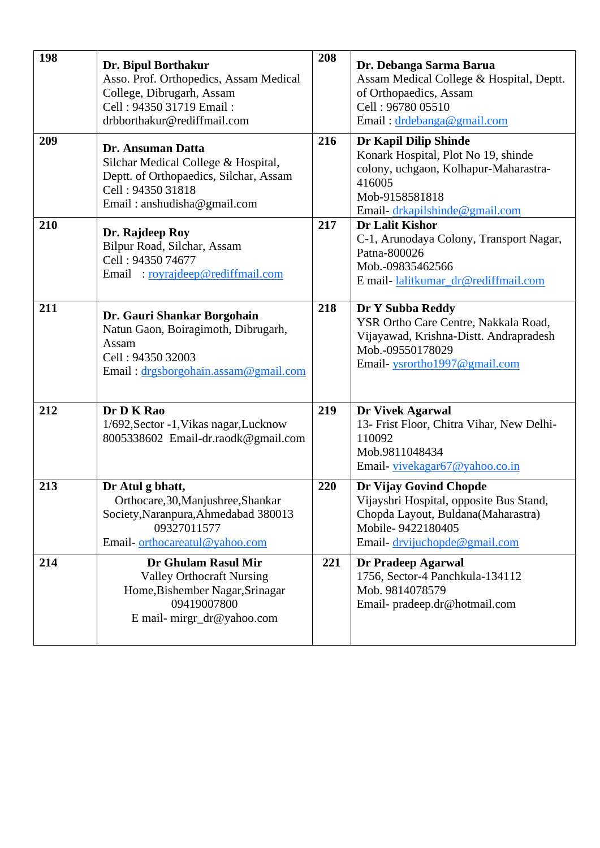| 198 | Dr. Bipul Borthakur<br>Asso. Prof. Orthopedics, Assam Medical<br>College, Dibrugarh, Assam<br>Cell: 94350 31719 Email:<br>drbborthakur@rediffmail.com  | 208 | Dr. Debanga Sarma Barua<br>Assam Medical College & Hospital, Deptt.<br>of Orthopaedics, Assam<br>Cell: 96780 05510<br>Email: drdebanga@gmail.com                   |
|-----|--------------------------------------------------------------------------------------------------------------------------------------------------------|-----|--------------------------------------------------------------------------------------------------------------------------------------------------------------------|
| 209 | Dr. Ansuman Datta<br>Silchar Medical College & Hospital,<br>Deptt. of Orthopaedics, Silchar, Assam<br>Cell: 94350 31818<br>Email: anshudisha@gmail.com | 216 | Dr Kapil Dilip Shinde<br>Konark Hospital, Plot No 19, shinde<br>colony, uchgaon, Kolhapur-Maharastra-<br>416005<br>Mob-9158581818<br>Email-drkapilshinde@gmail.com |
| 210 | Dr. Rajdeep Roy<br>Bilpur Road, Silchar, Assam<br>Cell: 94350 74677<br>Email: royrajdeep@rediffmail.com                                                | 217 | <b>Dr Lalit Kishor</b><br>C-1, Arunodaya Colony, Transport Nagar,<br>Patna-800026<br>Mob.-09835462566<br>E mail-lalitkumar_dr@rediffmail.com                       |
| 211 | Dr. Gauri Shankar Borgohain<br>Natun Gaon, Boiragimoth, Dibrugarh,<br>Assam<br>Cell: 94350 32003<br>Email: drgsborgohain.assam@gmail.com               | 218 | Dr Y Subba Reddy<br>YSR Ortho Care Centre, Nakkala Road,<br>Vijayawad, Krishna-Distt. Andrapradesh<br>Mob.-09550178029<br>Email-ysrortho1997@gmail.com             |
| 212 | Dr D K Rao<br>1/692, Sector -1, Vikas nagar, Lucknow<br>8005338602 Email-dr.raodk@gmail.com                                                            | 219 | Dr Vivek Agarwal<br>13- Frist Floor, Chitra Vihar, New Delhi-<br>110092<br>Mob.9811048434<br>Email-yivekagar67@yahoo.co.in                                         |
| 213 | Dr Atul g bhatt,<br>Orthocare, 30, Manjushree, Shankar<br>Society, Naranpura, Ahmedabad 380013<br>09327011577<br>Email-orthocareatul@yahoo.com         | 220 | Dr Vijay Govind Chopde<br>Vijayshri Hospital, opposite Bus Stand,<br>Chopda Layout, Buldana(Maharastra)<br>Mobile-9422180405<br>Email-drvijuchopde@gmail.com       |
| 214 | Dr Ghulam Rasul Mir<br><b>Valley Orthocraft Nursing</b><br>Home, Bishember Nagar, Srinagar<br>09419007800<br>E mail- mirgr_dr@yahoo.com                | 221 | Dr Pradeep Agarwal<br>1756, Sector-4 Panchkula-134112<br>Mob. 9814078579<br>Email-pradeep.dr@hotmail.com                                                           |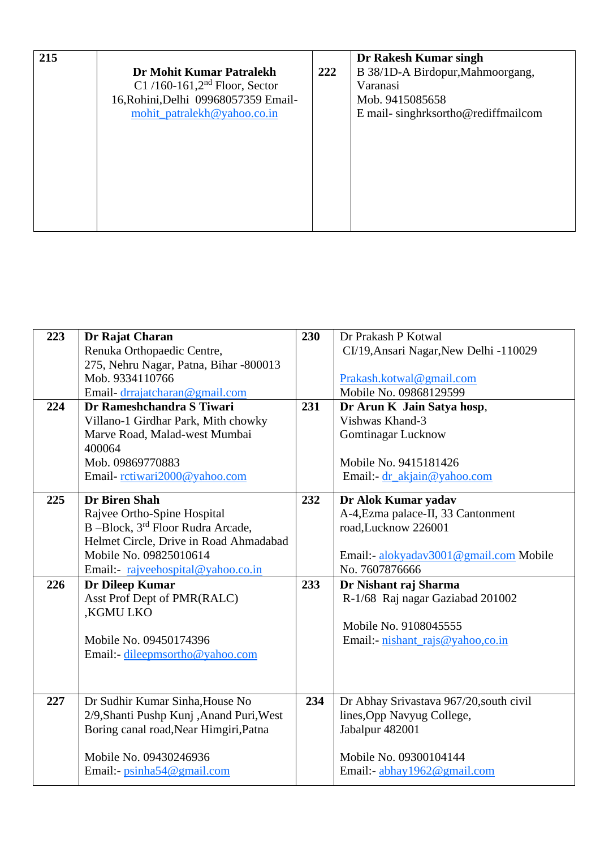| 215 | Dr Mohit Kumar Patralekh<br>C1/160-161,2 <sup>nd</sup> Floor, Sector<br>16, Rohini, Delhi 09968057359 Email-<br>mohit_patralekh@yahoo.co.in | 222 | Dr Rakesh Kumar singh<br>B 38/1D-A Birdopur, Mahmoorgang,<br>Varanasi<br>Mob. 9415085658<br>E mail-singhrksortho@rediffmailcom |
|-----|---------------------------------------------------------------------------------------------------------------------------------------------|-----|--------------------------------------------------------------------------------------------------------------------------------|
|-----|---------------------------------------------------------------------------------------------------------------------------------------------|-----|--------------------------------------------------------------------------------------------------------------------------------|

| 223 | Dr Rajat Charan                          | 230 | Dr Prakash P Kotwal                     |
|-----|------------------------------------------|-----|-----------------------------------------|
|     | Renuka Orthopaedic Centre,               |     | CI/19, Ansari Nagar, New Delhi -110029  |
|     | 275, Nehru Nagar, Patna, Bihar -800013   |     |                                         |
|     | Mob. 9334110766                          |     | Prakash.kotwal@gmail.com                |
|     | Email-drrajatcharan@gmail.com            |     | Mobile No. 09868129599                  |
| 224 | Dr Rameshchandra S Tiwari                | 231 | Dr Arun K Jain Satya hosp,              |
|     | Villano-1 Girdhar Park, Mith chowky      |     | Vishwas Khand-3                         |
|     | Marve Road, Malad-west Mumbai            |     | <b>Gomtinagar Lucknow</b>               |
|     | 400064                                   |     |                                         |
|     | Mob. 09869770883                         |     | Mobile No. 9415181426                   |
|     | Email-rctiwari2000@yahoo.com             |     | Email:- $dr_\alpha$ kjain@yahoo.com     |
| 225 | <b>Dr Biren Shah</b>                     | 232 | Dr Alok Kumar yadav                     |
|     | Rajvee Ortho-Spine Hospital              |     | A-4, Ezma palace-II, 33 Cantonment      |
|     | B-Block, 3rd Floor Rudra Arcade,         |     | road, Lucknow 226001                    |
|     | Helmet Circle, Drive in Road Ahmadabad   |     |                                         |
|     | Mobile No. 09825010614                   |     | Email:- alokyadav3001@gmail.com Mobile  |
|     | Email: rajveehospital@yahoo.co.in        |     | No. 7607876666                          |
| 226 | Dr Dileep Kumar                          | 233 | Dr Nishant raj Sharma                   |
|     | Asst Prof Dept of PMR(RALC)              |     | R-1/68 Raj nagar Gaziabad 201002        |
|     | ,KGMU LKO                                |     |                                         |
|     |                                          |     | Mobile No. 9108045555                   |
|     | Mobile No. 09450174396                   |     | Email:- nishant_rajs@yahoo,co.in        |
|     | Email:- dileepmsortho@yahoo.com          |     |                                         |
|     |                                          |     |                                         |
|     |                                          |     |                                         |
| 227 | Dr Sudhir Kumar Sinha, House No          | 234 | Dr Abhay Srivastava 967/20, south civil |
|     | 2/9, Shanti Pushp Kunj, Anand Puri, West |     | lines, Opp Navyug College,              |
|     | Boring canal road, Near Himgiri, Patna   |     | Jabalpur 482001                         |
|     |                                          |     |                                         |
|     | Mobile No. 09430246936                   |     | Mobile No. 09300104144                  |
|     | Email:- psinha54@gmail.com               |     | Email:- abhay1962@gmail.com             |
|     |                                          |     |                                         |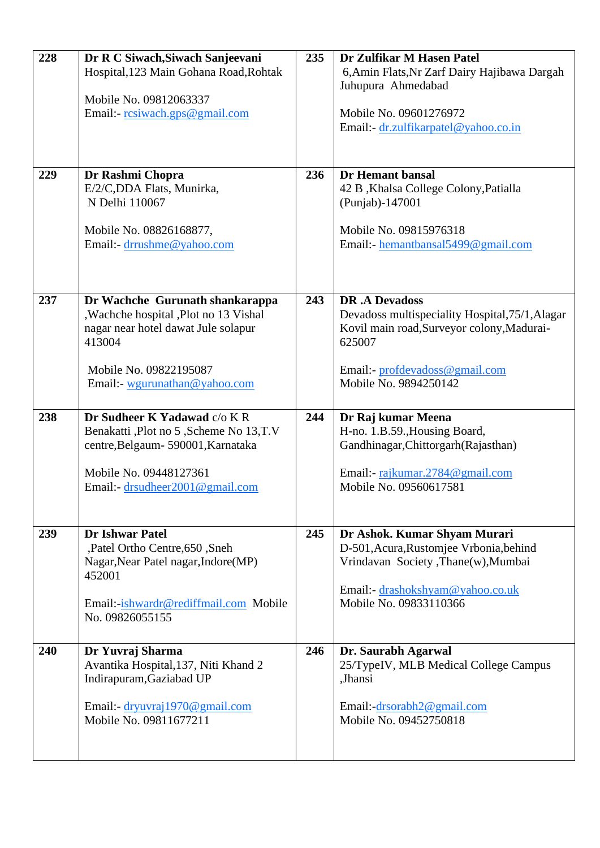| 228 | Dr R C Siwach, Siwach Sanjeevani<br>Hospital, 123 Main Gohana Road, Rohtak                                                                                             | 235 | Dr Zulfikar M Hasen Patel<br>6, Amin Flats, Nr Zarf Dairy Hajibawa Dargah                                                                                                    |
|-----|------------------------------------------------------------------------------------------------------------------------------------------------------------------------|-----|------------------------------------------------------------------------------------------------------------------------------------------------------------------------------|
|     | Mobile No. 09812063337                                                                                                                                                 |     | Juhupura Ahmedabad                                                                                                                                                           |
|     | Email:- resiwach.gps@gmail.com                                                                                                                                         |     | Mobile No. 09601276972<br>Email: dr.zulfikarpatel@yahoo.co.in                                                                                                                |
| 229 | Dr Rashmi Chopra                                                                                                                                                       | 236 | Dr Hemant bansal                                                                                                                                                             |
|     | E/2/C,DDA Flats, Munirka,<br>N Delhi 110067                                                                                                                            |     | 42 B, Khalsa College Colony, Patialla<br>(Punjab)-147001                                                                                                                     |
|     | Mobile No. 08826168877,<br>Email:- drrushme@yahoo.com                                                                                                                  |     | Mobile No. 09815976318<br>Email:- hemantbansal5499@gmail.com                                                                                                                 |
| 237 | Dr Wachche Gurunath shankarappa<br>, Wachche hospital , Plot no 13 Vishal<br>nagar near hotel dawat Jule solapur<br>413004                                             | 243 | <b>DR.A Devadoss</b><br>Devadoss multispeciality Hospital, 75/1, Alagar<br>Kovil main road, Surveyor colony, Madurai-<br>625007                                              |
|     | Mobile No. 09822195087<br>Email: wgurunathan@yahoo.com                                                                                                                 |     | Email:- profdevadoss@gmail.com<br>Mobile No. 9894250142                                                                                                                      |
| 238 | Dr Sudheer K Yadawad c/o K R<br>Benakatti ,Plot no 5 ,Scheme No 13,T.V<br>centre, Belgaum - 590001, Karnataka<br>Mobile No. 09448127361                                | 244 | Dr Raj kumar Meena<br>H-no. 1.B.59., Housing Board,<br>Gandhinagar, Chittorgarh (Rajasthan)<br>Email:- rajkumar.2784@gmail.com                                               |
|     | Email:- drsudheer2001@gmail.com                                                                                                                                        |     | Mobile No. 09560617581                                                                                                                                                       |
| 239 | <b>Dr Ishwar Patel</b><br>,Patel Ortho Centre, 650, Sneh<br>Nagar, Near Patel nagar, Indore (MP)<br>452001<br>Email: ishwardr@rediffmail.com Mobile<br>No. 09826055155 | 245 | Dr Ashok. Kumar Shyam Murari<br>D-501, Acura, Rustomjee Vrbonia, behind<br>Vrindavan Society, Thane(w), Mumbai<br>Email:- drashokshyam@yahoo.co.uk<br>Mobile No. 09833110366 |
|     |                                                                                                                                                                        |     |                                                                                                                                                                              |
| 240 | Dr Yuvraj Sharma<br>Avantika Hospital, 137, Niti Khand 2<br>Indirapuram, Gaziabad UP                                                                                   | 246 | Dr. Saurabh Agarwal<br>25/TypeIV, MLB Medical College Campus<br>,Jhansi                                                                                                      |
|     | Email:- dryuvraj1970@gmail.com<br>Mobile No. 09811677211                                                                                                               |     | Email:-drsorabh2@gmail.com<br>Mobile No. 09452750818                                                                                                                         |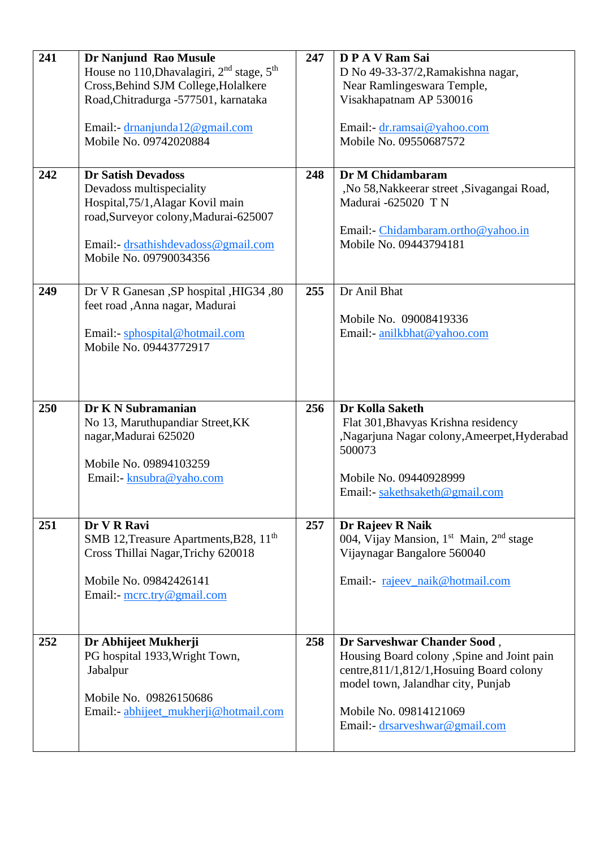| 241 | Dr Nanjund Rao Musule                                             | 247 | DPAVRam Sai                                                     |
|-----|-------------------------------------------------------------------|-----|-----------------------------------------------------------------|
|     | House no 110, Dhavalagiri, 2 <sup>nd</sup> stage, 5 <sup>th</sup> |     | D No 49-33-37/2, Ramakishna nagar,                              |
|     | Cross, Behind SJM College, Holalkere                              |     | Near Ramlingeswara Temple,                                      |
|     | Road, Chitradurga -577501, karnataka                              |     | Visakhapatnam AP 530016                                         |
|     |                                                                   |     |                                                                 |
|     | Email:- drnanjunda12@gmail.com                                    |     | Email:- dr.ramsai@yahoo.com                                     |
|     | Mobile No. 09742020884                                            |     | Mobile No. 09550687572                                          |
|     |                                                                   |     |                                                                 |
|     |                                                                   |     |                                                                 |
| 242 | <b>Dr Satish Devadoss</b>                                         | 248 | Dr M Chidambaram                                                |
|     | Devadoss multispeciality                                          |     | ,No 58, Nakkeerar street, Sivagangai Road,                      |
|     | Hospital, 75/1, Alagar Kovil main                                 |     | Madurai -625020 TN                                              |
|     | road, Surveyor colony, Madurai-625007                             |     |                                                                 |
|     |                                                                   |     | Email: Chidambaram.ortho@yahoo.in                               |
|     | Email: drsathishdevadoss@gmail.com                                |     | Mobile No. 09443794181                                          |
|     | Mobile No. 09790034356                                            |     |                                                                 |
|     |                                                                   |     |                                                                 |
| 249 | Dr V R Ganesan , SP hospital , HIG34 , 80                         | 255 | Dr Anil Bhat                                                    |
|     | feet road ,Anna nagar, Madurai                                    |     |                                                                 |
|     |                                                                   |     | Mobile No. 09008419336                                          |
|     | Email:- sphospital@hotmail.com                                    |     | Email:- anilkbhat@yahoo.com                                     |
|     | Mobile No. 09443772917                                            |     |                                                                 |
|     |                                                                   |     |                                                                 |
|     |                                                                   |     |                                                                 |
|     |                                                                   |     |                                                                 |
|     |                                                                   |     |                                                                 |
|     |                                                                   |     |                                                                 |
| 250 | Dr K N Subramanian                                                | 256 | Dr Kolla Saketh                                                 |
|     | No 13, Maruthupandiar Street, KK                                  |     | Flat 301, Bhavyas Krishna residency                             |
|     | nagar, Madurai 625020                                             |     | ,Nagarjuna Nagar colony,Ameerpet,Hyderabad                      |
|     |                                                                   |     | 500073                                                          |
|     | Mobile No. 09894103259                                            |     |                                                                 |
|     | Email:- knsubra@yaho.com                                          |     | Mobile No. 09440928999                                          |
|     |                                                                   |     | Email:- sakethsaketh@gmail.com                                  |
|     |                                                                   |     |                                                                 |
| 251 | Dr V R Ravi                                                       | 257 |                                                                 |
|     |                                                                   |     | Dr Rajeev R Naik                                                |
|     | SMB 12, Treasure Apartments, B28, 11 <sup>th</sup>                |     | 004, Vijay Mansion, 1 <sup>st</sup> Main, 2 <sup>nd</sup> stage |
|     | Cross Thillai Nagar, Trichy 620018                                |     | Vijaynagar Bangalore 560040                                     |
|     | Mobile No. 09842426141                                            |     |                                                                 |
|     |                                                                   |     | Email:- rajeev_naik@hotmail.com                                 |
|     | Email:- $\text{mcrctry}\,\omega$ gmail.com                        |     |                                                                 |
|     |                                                                   |     |                                                                 |
|     |                                                                   |     |                                                                 |
| 252 | Dr Abhijeet Mukherji                                              | 258 | Dr Sarveshwar Chander Sood,                                     |
|     | PG hospital 1933, Wright Town,                                    |     | Housing Board colony , Spine and Joint pain                     |
|     | Jabalpur                                                          |     | centre, 811/1, 812/1, Hosuing Board colony                      |
|     |                                                                   |     | model town, Jalandhar city, Punjab                              |
|     | Mobile No. 09826150686                                            |     |                                                                 |
|     | Email: abhijeet_mukherji@hotmail.com                              |     | Mobile No. 09814121069                                          |
|     |                                                                   |     | Email:- drsarveshwar@gmail.com                                  |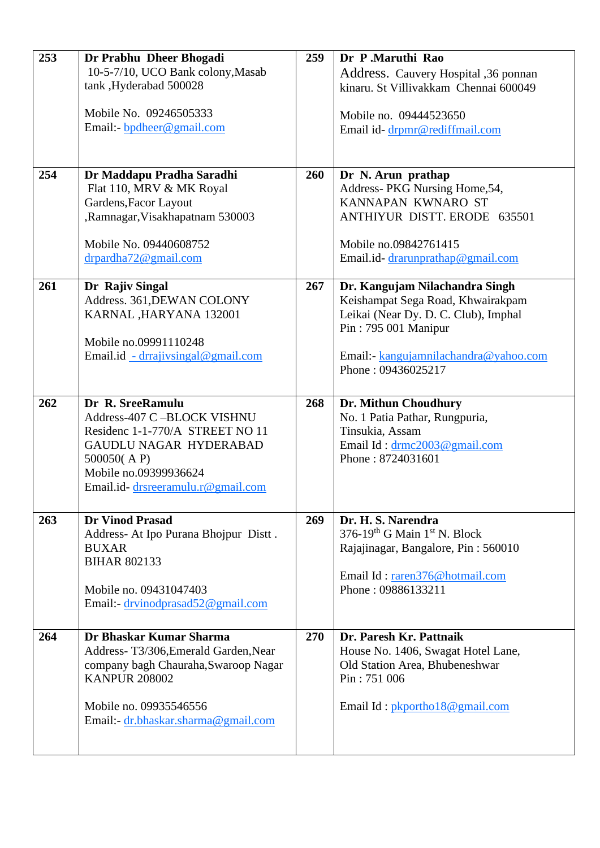| 253 | Dr Prabhu Dheer Bhogadi                                      | 259 | Dr P.Maruthi Rao                                     |
|-----|--------------------------------------------------------------|-----|------------------------------------------------------|
|     | 10-5-7/10, UCO Bank colony, Masab                            |     | Address. Cauvery Hospital ,36 ponnan                 |
|     | tank, Hyderabad 500028                                       |     | kinaru. St Villivakkam Chennai 600049                |
|     |                                                              |     |                                                      |
|     | Mobile No. 09246505333                                       |     | Mobile no. 09444523650                               |
|     | Email:- bpdheer@gmail.com                                    |     | Email id-drpmr@rediffmail.com                        |
|     |                                                              |     |                                                      |
|     |                                                              |     |                                                      |
| 254 | Dr Maddapu Pradha Saradhi                                    | 260 | Dr N. Arun prathap                                   |
|     | Flat 110, MRV & MK Royal                                     |     | Address- PKG Nursing Home, 54,                       |
|     | Gardens, Facor Layout                                        |     | KANNAPAN KWNARO ST                                   |
|     | ,Ramnagar, Visakhapatnam 530003                              |     | ANTHIYUR DISTT. ERODE 635501                         |
|     |                                                              |     |                                                      |
|     | Mobile No. 09440608752                                       |     | Mobile no.09842761415                                |
|     | drpardha72@gmail.com                                         |     | Email.id-drarunprathap@gmail.com                     |
|     |                                                              |     |                                                      |
| 261 | Dr Rajiv Singal                                              | 267 | Dr. Kangujam Nilachandra Singh                       |
|     | Address. 361, DEWAN COLONY                                   |     | Keishampat Sega Road, Khwairakpam                    |
|     | KARNAL, HARYANA 132001                                       |     | Leikai (Near Dy. D. C. Club), Imphal                 |
|     |                                                              |     | Pin: 795 001 Manipur                                 |
|     | Mobile no.09991110248                                        |     |                                                      |
|     | Email.id - drrajivsingal@gmail.com                           |     | Email:- kangujamnilachandra@yahoo.com                |
|     |                                                              |     | Phone: 09436025217                                   |
|     |                                                              |     |                                                      |
| 262 | Dr R. SreeRamulu                                             | 268 | Dr. Mithun Choudhury                                 |
|     | Address-407 C-BLOCK VISHNU                                   |     | No. 1 Patia Pathar, Rungpuria,                       |
|     | Residenc 1-1-770/A STREET NO 11                              |     | Tinsukia, Assam                                      |
|     | GAUDLU NAGAR HYDERABAD                                       |     | Email Id: drmc2003@gmail.com                         |
|     | 500050(AP)                                                   |     | Phone: 8724031601                                    |
|     | Mobile no.09399936624                                        |     |                                                      |
|     | Email.id-drsreeramulu.r@gmail.com                            |     |                                                      |
|     |                                                              |     |                                                      |
| 263 | <b>Dr Vinod Prasad</b>                                       | 269 | Dr. H. S. Narendra                                   |
|     | Address-At Ipo Purana Bhojpur Distt.                         |     | 376-19 <sup>th</sup> G Main 1 <sup>st</sup> N. Block |
|     | <b>BUXAR</b>                                                 |     | Rajajinagar, Bangalore, Pin: 560010                  |
|     | <b>BIHAR 802133</b>                                          |     |                                                      |
|     |                                                              |     | Email Id: raren376@hotmail.com                       |
|     | Mobile no. 09431047403                                       |     | Phone: 09886133211                                   |
|     | Email:- drvinodprasad52@gmail.com                            |     |                                                      |
|     |                                                              |     |                                                      |
|     | Dr Bhaskar Kumar Sharma                                      |     | Dr. Paresh Kr. Pattnaik                              |
| 264 |                                                              | 270 |                                                      |
|     | Address-T3/306, Emerald Garden, Near                         |     | House No. 1406, Swagat Hotel Lane,                   |
|     | company bagh Chauraha, Swaroop Nagar<br><b>KANPUR 208002</b> |     | Old Station Area, Bhubeneshwar<br>Pin: 751 006       |
|     |                                                              |     |                                                      |
|     | Mobile no. 09935546556                                       |     | Email Id: pkportho18@gmail.com                       |
|     | Email: dr.bhaskar.sharma@gmail.com                           |     |                                                      |
|     |                                                              |     |                                                      |
|     |                                                              |     |                                                      |
|     |                                                              |     |                                                      |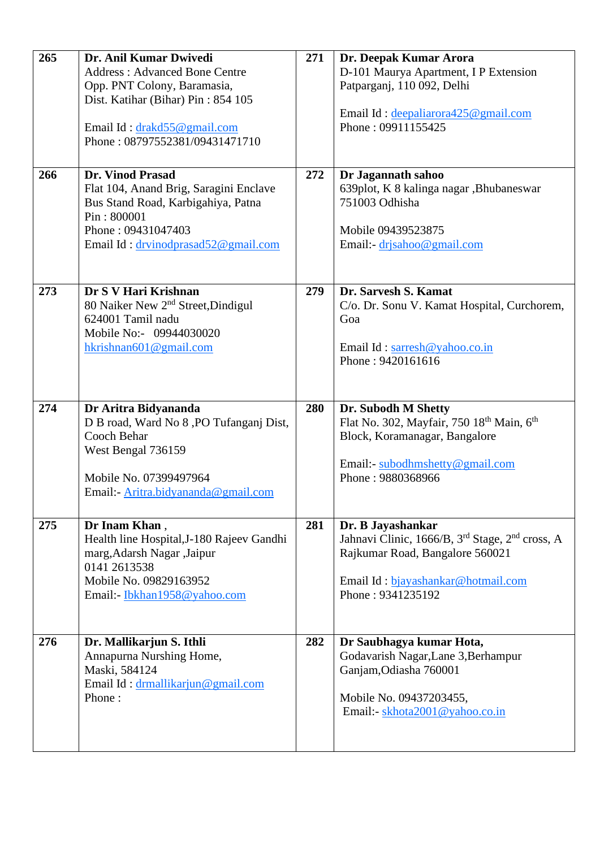| 265 | Dr. Anil Kumar Dwivedi                                     | 271 | Dr. Deepak Kumar Arora                                                                                     |
|-----|------------------------------------------------------------|-----|------------------------------------------------------------------------------------------------------------|
|     | <b>Address: Advanced Bone Centre</b>                       |     | D-101 Maurya Apartment, I P Extension                                                                      |
|     | Opp. PNT Colony, Baramasia,                                |     | Patparganj, 110 092, Delhi                                                                                 |
|     | Dist. Katihar (Bihar) Pin: 854 105                         |     |                                                                                                            |
|     |                                                            |     | Email Id: deepaliarora425@gmail.com                                                                        |
|     | Email Id: drakd55@gmail.com                                |     | Phone: 09911155425                                                                                         |
|     | Phone: 08797552381/09431471710                             |     |                                                                                                            |
|     |                                                            |     |                                                                                                            |
| 266 | Dr. Vinod Prasad                                           | 272 | Dr Jagannath sahoo                                                                                         |
|     | Flat 104, Anand Brig, Saragini Enclave                     |     | 639plot, K 8 kalinga nagar , Bhubaneswar                                                                   |
|     | Bus Stand Road, Karbigahiya, Patna                         |     | 751003 Odhisha                                                                                             |
|     | Pin: 800001                                                |     |                                                                                                            |
|     | Phone: 09431047403                                         |     | Mobile 09439523875                                                                                         |
|     | Email Id: drvinodprasad52@gmail.com                        |     | Email:- drisahoo@gmail.com                                                                                 |
|     |                                                            |     |                                                                                                            |
|     |                                                            |     |                                                                                                            |
| 273 | Dr S V Hari Krishnan                                       | 279 | Dr. Sarvesh S. Kamat                                                                                       |
|     | 80 Naiker New 2 <sup>nd</sup> Street, Dindigul             |     | C/o. Dr. Sonu V. Kamat Hospital, Curchorem,                                                                |
|     | 624001 Tamil nadu                                          |     | Goa                                                                                                        |
|     | Mobile No:- 09944030020                                    |     |                                                                                                            |
|     | hkrishnan $601@$ gmail.com                                 |     | Email Id: sarresh@yahoo.co.in                                                                              |
|     |                                                            |     | Phone: 9420161616                                                                                          |
|     |                                                            |     |                                                                                                            |
|     |                                                            |     |                                                                                                            |
|     |                                                            |     |                                                                                                            |
|     |                                                            |     |                                                                                                            |
| 274 | Dr Aritra Bidyananda                                       | 280 | Dr. Subodh M Shetty                                                                                        |
|     | D B road, Ward No 8, PO Tufanganj Dist,<br>Cooch Behar     |     | Flat No. 302, Mayfair, 750 18 <sup>th</sup> Main, 6 <sup>th</sup>                                          |
|     | West Bengal 736159                                         |     | Block, Koramanagar, Bangalore                                                                              |
|     |                                                            |     | Email:- subodhmshetty@gmail.com                                                                            |
|     | Mobile No. 07399497964                                     |     | Phone: 9880368966                                                                                          |
|     | Email: Aritra.bidyananda@gmail.com                         |     |                                                                                                            |
|     |                                                            |     |                                                                                                            |
| 275 |                                                            | 281 |                                                                                                            |
|     | Dr Inam Khan,<br>Health line Hospital, J-180 Rajeev Gandhi |     | Dr. B Jayashankar                                                                                          |
|     | marg, Adarsh Nagar, Jaipur                                 |     | Jahnavi Clinic, 1666/B, 3 <sup>rd</sup> Stage, 2 <sup>nd</sup> cross, A<br>Rajkumar Road, Bangalore 560021 |
|     | 0141 2613538                                               |     |                                                                                                            |
|     | Mobile No. 09829163952                                     |     | Email Id: bjayashankar@hotmail.com                                                                         |
|     | Email:- Ibkhan1958@yahoo.com                               |     | Phone: 9341235192                                                                                          |
|     |                                                            |     |                                                                                                            |
|     |                                                            |     |                                                                                                            |
| 276 | Dr. Mallikarjun S. Ithli                                   | 282 | Dr Saubhagya kumar Hota,                                                                                   |
|     | Annapurna Nurshing Home,                                   |     | Godavarish Nagar, Lane 3, Berhampur                                                                        |
|     | Maski, 584124                                              |     | Ganjam, Odiasha 760001                                                                                     |
|     | Email Id: drmallikarjun@gmail.com                          |     |                                                                                                            |
|     | Phone:                                                     |     | Mobile No. 09437203455,                                                                                    |
|     |                                                            |     | Email:- skhota2001@yahoo.co.in                                                                             |
|     |                                                            |     |                                                                                                            |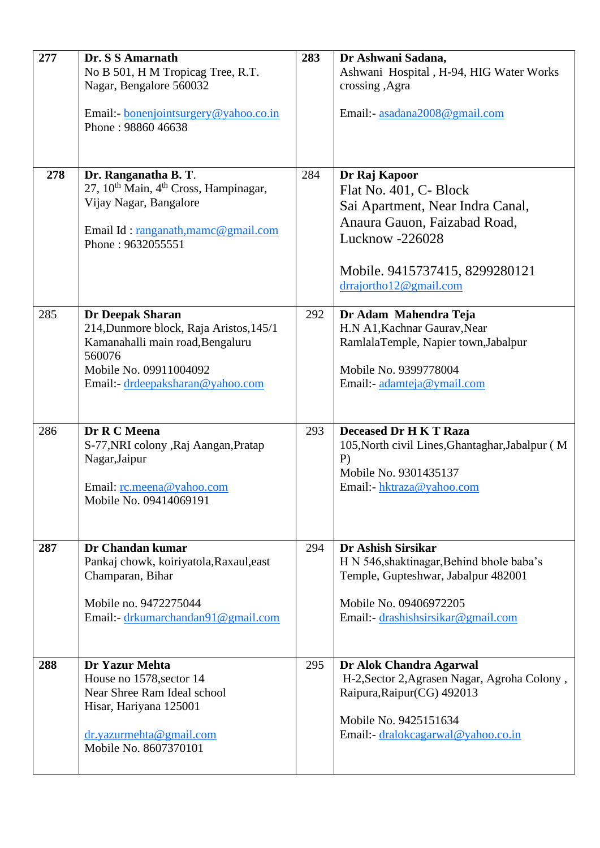| 277 | Dr. S S Amarnath<br>No B 501, H M Tropicag Tree, R.T.<br>Nagar, Bengalore 560032                                                                                               | 283 | Dr Ashwani Sadana,<br>Ashwani Hospital, H-94, HIG Water Works<br>crossing ,Agra                                                                                                            |
|-----|--------------------------------------------------------------------------------------------------------------------------------------------------------------------------------|-----|--------------------------------------------------------------------------------------------------------------------------------------------------------------------------------------------|
|     | Email:- bonenjointsurgery@yahoo.co.in<br>Phone: 98860 46638                                                                                                                    |     | Email:- asadana2008@gmail.com                                                                                                                                                              |
| 278 | Dr. Ranganatha B. T.<br>27, 10 <sup>th</sup> Main, 4 <sup>th</sup> Cross, Hampinagar,<br>Vijay Nagar, Bangalore<br>Email Id: ranganath, mamc@gmail.com<br>Phone: 9632055551    | 284 | Dr Raj Kapoor<br>Flat No. 401, C- Block<br>Sai Apartment, Near Indra Canal,<br>Anaura Gauon, Faizabad Road,<br>Lucknow -226028<br>Mobile. 9415737415, 8299280121<br>drrajortho12@gmail.com |
| 285 | <b>Dr Deepak Sharan</b><br>214, Dunmore block, Raja Aristos, 145/1<br>Kamanahalli main road, Bengaluru<br>560076<br>Mobile No. 09911004092<br>Email:- drdeepaksharan@yahoo.com | 292 | Dr Adam Mahendra Teja<br>H.N A1, Kachnar Gaurav, Near<br>RamlalaTemple, Napier town,Jabalpur<br>Mobile No. 9399778004<br>Email:- adamteja@ymail.com                                        |
| 286 | Dr R C Meena<br>S-77, NRI colony , Raj Aangan, Pratap<br>Nagar, Jaipur<br>Email: rc.meena@yahoo.com<br>Mobile No. 09414069191                                                  | 293 | <b>Deceased Dr H K T Raza</b><br>105, North civil Lines, Ghantaghar, Jabalpur (M<br>$P$ )<br>Mobile No. 9301435137<br>Email:- hktraza@yahoo.com                                            |
| 287 | Dr Chandan kumar<br>Pankaj chowk, koiriyatola, Raxaul, east<br>Champaran, Bihar<br>Mobile no. 9472275044<br>Email:- drkumarchandan91@gmail.com                                 | 294 | Dr Ashish Sirsikar<br>H N 546, shaktinagar, Behind bhole baba's<br>Temple, Gupteshwar, Jabalpur 482001<br>Mobile No. 09406972205<br>Email:- drashishsirsikar@gmail.com                     |
| 288 | Dr Yazur Mehta<br>House no 1578, sector 14<br>Near Shree Ram Ideal school<br>Hisar, Hariyana 125001<br>dr.yazurmehta@gmail.com<br>Mobile No. 8607370101                        | 295 | Dr Alok Chandra Agarwal<br>H-2, Sector 2, Agrasen Nagar, Agroha Colony,<br>Raipura, Raipur (CG) 492013<br>Mobile No. 9425151634<br>Email:- dralokcagarwal@yahoo.co.in                      |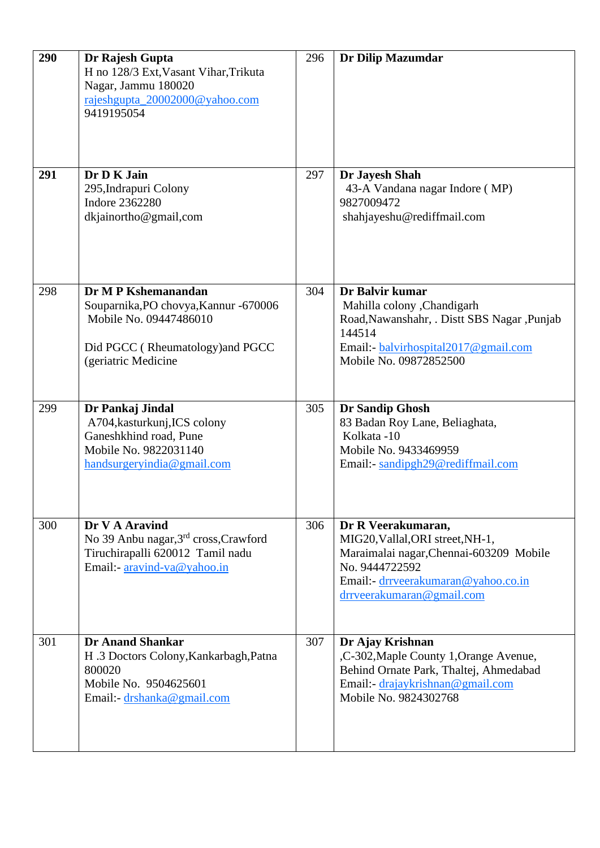| 290 | Dr Rajesh Gupta<br>H no 128/3 Ext, Vasant Vihar, Trikuta<br>Nagar, Jammu 180020<br>rajeshgupta_20002000@yahoo.com<br>9419195054                   | 296 | <b>Dr Dilip Mazumdar</b>                                                                                                                                                                 |
|-----|---------------------------------------------------------------------------------------------------------------------------------------------------|-----|------------------------------------------------------------------------------------------------------------------------------------------------------------------------------------------|
| 291 | Dr D K Jain<br>295, Indrapuri Colony<br><b>Indore 2362280</b><br>dkjainortho@gmail,com                                                            | 297 | Dr Jayesh Shah<br>43-A Vandana nagar Indore (MP)<br>9827009472<br>shahjayeshu@rediffmail.com                                                                                             |
| 298 | Dr M P Kshemanandan<br>Souparnika, PO chovya, Kannur -670006<br>Mobile No. 09447486010<br>Did PGCC (Rheumatology) and PGCC<br>(geriatric Medicine | 304 | Dr Balvir kumar<br>Mahilla colony , Chandigarh<br>Road, Nawanshahr, . Distt SBS Nagar, Punjab<br>144514<br>Email:- balvirhospital2017@gmail.com<br>Mobile No. 09872852500                |
| 299 | Dr Pankaj Jindal<br>A704, kasturkunj, ICS colony<br>Ganeshkhind road, Pune<br>Mobile No. 9822031140<br>handsurgeryindia@gmail.com                 | 305 | Dr Sandip Ghosh<br>83 Badan Roy Lane, Beliaghata,<br>Kolkata -10<br>Mobile No. 9433469959<br>Email: sandipgh29@rediffmail.com                                                            |
| 300 | Dr V A Aravind<br>No 39 Anbu nagar, 3rd cross, Crawford<br>Tiruchirapalli 620012 Tamil nadu<br>Email:- aravind-va@yahoo.in                        | 306 | Dr R Veerakumaran,<br>MIG20, Vallal, ORI street, NH-1,<br>Maraimalai nagar, Chennai-603209 Mobile<br>No. 9444722592<br>Email: - drrveerakumaran@yahoo.co.in<br>drrveerakumaran@gmail.com |
| 301 | <b>Dr Anand Shankar</b><br>H.3 Doctors Colony, Kankarbagh, Patna<br>800020<br>Mobile No. 9504625601<br>Email:- drshanka@gmail.com                 | 307 | Dr Ajay Krishnan<br>,C-302, Maple County 1, Orange Avenue,<br>Behind Ornate Park, Thaltej, Ahmedabad<br>Email: - drajaykrishnan@gmail.com<br>Mobile No. 9824302768                       |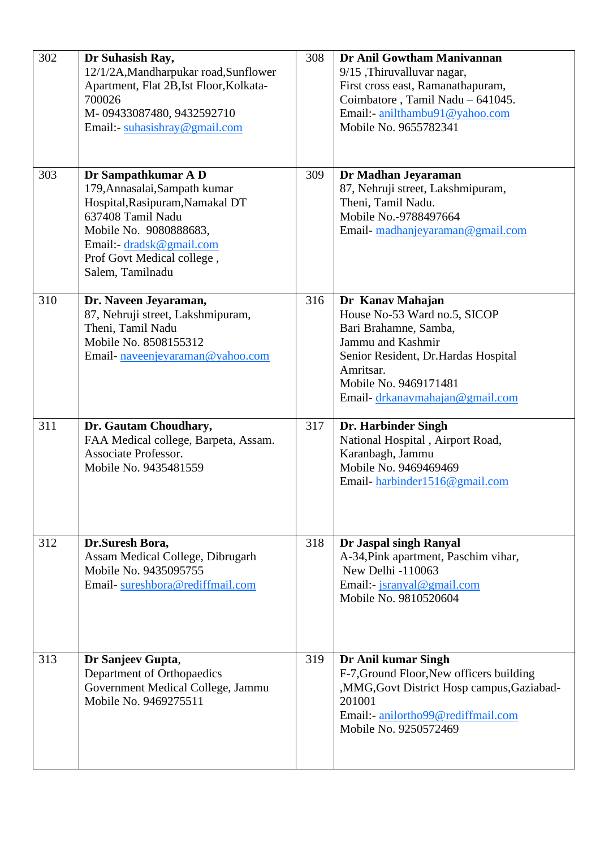| 302 | Dr Suhasish Ray,<br>12/1/2A, Mandharpukar road, Sunflower<br>Apartment, Flat 2B, Ist Floor, Kolkata-<br>700026<br>M-09433087480, 9432592710<br>Email:- suhasishray@gmail.com                                         | 308 | Dr Anil Gowtham Manivannan<br>9/15, Thiruvalluvar nagar,<br>First cross east, Ramanathapuram,<br>Coimbatore, Tamil Nadu - 641045.<br>Email:- anilthambu91@yahoo.com<br>Mobile No. 9655782341                  |
|-----|----------------------------------------------------------------------------------------------------------------------------------------------------------------------------------------------------------------------|-----|---------------------------------------------------------------------------------------------------------------------------------------------------------------------------------------------------------------|
| 303 | Dr Sampathkumar A D<br>179, Annasalai, Sampath kumar<br>Hospital, Rasipuram, Namakal DT<br>637408 Tamil Nadu<br>Mobile No. 9080888683,<br>Email:- dradsk@gmail.com<br>Prof Govt Medical college,<br>Salem, Tamilnadu | 309 | Dr Madhan Jeyaraman<br>87, Nehruji street, Lakshmipuram,<br>Theni, Tamil Nadu.<br>Mobile No.-9788497664<br>Email-madhanjeyaraman@gmail.com                                                                    |
| 310 | Dr. Naveen Jeyaraman,<br>87, Nehruji street, Lakshmipuram,<br>Theni, Tamil Nadu<br>Mobile No. 8508155312<br>Email-naveenjeyaraman@yahoo.com                                                                          | 316 | Dr Kanav Mahajan<br>House No-53 Ward no.5, SICOP<br>Bari Brahamne, Samba,<br>Jammu and Kashmir<br>Senior Resident, Dr.Hardas Hospital<br>Amritsar.<br>Mobile No. 9469171481<br>Email-drkanavmahajan@gmail.com |
| 311 | Dr. Gautam Choudhary,<br>FAA Medical college, Barpeta, Assam.<br>Associate Professor.<br>Mobile No. 9435481559                                                                                                       | 317 | Dr. Harbinder Singh<br>National Hospital, Airport Road,<br>Karanbagh, Jammu<br>Mobile No. 9469469469<br>Email-harbinder1516@gmail.com                                                                         |
| 312 | Dr.Suresh Bora,<br>Assam Medical College, Dibrugarh<br>Mobile No. 9435095755<br>Email-sureshbora@rediffmail.com                                                                                                      | 318 | Dr Jaspal singh Ranyal<br>A-34, Pink apartment, Paschim vihar,<br>New Delhi -110063<br>Email:- jsranyal@gmail.com<br>Mobile No. 9810520604                                                                    |
| 313 | Dr Sanjeev Gupta,<br>Department of Orthopaedics<br>Government Medical College, Jammu<br>Mobile No. 9469275511                                                                                                        | 319 | Dr Anil kumar Singh<br>F-7, Ground Floor, New officers building<br>,MMG, Govt District Hosp campus, Gaziabad-<br>201001<br>Email:- anilortho99@rediffmail.com<br>Mobile No. 9250572469                        |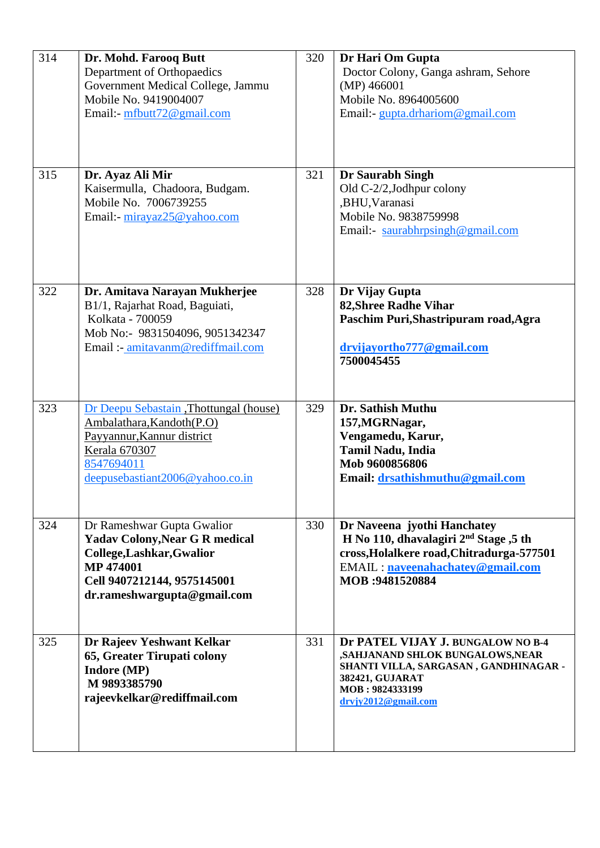| 314 | Dr. Mohd. Farooq Butt<br>Department of Orthopaedics<br>Government Medical College, Jammu<br>Mobile No. 9419004007<br>Email:- mfbutt72@gmail.com                                    | 320 | Dr Hari Om Gupta<br>Doctor Colony, Ganga ashram, Sehore<br>(MP) 466001<br>Mobile No. 8964005600<br>Email:- gupta.drhariom@gmail.com                                               |
|-----|------------------------------------------------------------------------------------------------------------------------------------------------------------------------------------|-----|-----------------------------------------------------------------------------------------------------------------------------------------------------------------------------------|
| 315 | Dr. Ayaz Ali Mir<br>Kaisermulla, Chadoora, Budgam.<br>Mobile No. 7006739255<br>Email:- mirayaz25@yahoo.com                                                                         | 321 | Dr Saurabh Singh<br>Old C-2/2, Jodhpur colony<br>,BHU, Varanasi<br>Mobile No. 9838759998<br>Email: saurabhrpsingh@gmail.com                                                       |
| 322 | Dr. Amitava Narayan Mukherjee<br>B1/1, Rajarhat Road, Baguiati,<br>Kolkata - 700059<br>Mob No:- 9831504096, 9051342347<br>Email: - amitavanm@rediffmail.com                        | 328 | Dr Vijay Gupta<br><b>82, Shree Radhe Vihar</b><br>Paschim Puri, Shastripuram road, Agra<br>drvijayortho777@gmail.com<br>7500045455                                                |
| 323 | Dr Deepu Sebastain , Thottungal (house)<br>Ambalathara, Kandoth (P.O)<br>Payyannur, Kannur district<br><b>Kerala 670307</b><br>8547694011<br>deepusebastiant2006@yahoo.co.in       | 329 | Dr. Sathish Muthu<br>157, MGRNagar,<br>Vengamedu, Karur,<br><b>Tamil Nadu, India</b><br>Mob 9600856806<br>Email: drsathishmuthu@gmail.com                                         |
| 324 | Dr Rameshwar Gupta Gwalior<br><b>Yadav Colony, Near G R medical</b><br>College, Lashkar, Gwalior<br><b>MP 474001</b><br>Cell 9407212144, 9575145001<br>dr.rameshwargupta@gmail.com | 330 | Dr Naveena jyothi Hanchatey<br>H No 110, dhavalagiri $2nd$ Stage ,5 th<br>cross, Holalkere road, Chitradurga-577501<br><b>EMAIL:</b> naveenahachatey@gmail.com<br>MOB: 9481520884 |
| 325 | Dr Rajeev Yeshwant Kelkar<br>65, Greater Tirupati colony<br><b>Indore (MP)</b><br>M9893385790<br>rajeevkelkar@rediffmail.com                                                       | 331 | Dr PATEL VIJAY J. BUNGALOW NO B-4<br>,SAHJANAND SHLOK BUNGALOWS,NEAR<br>SHANTI VILLA, SARGASAN, GANDHINAGAR -<br>382421, GUJARAT<br>MOB: 9824333199<br>drvjy2012@gmail.com        |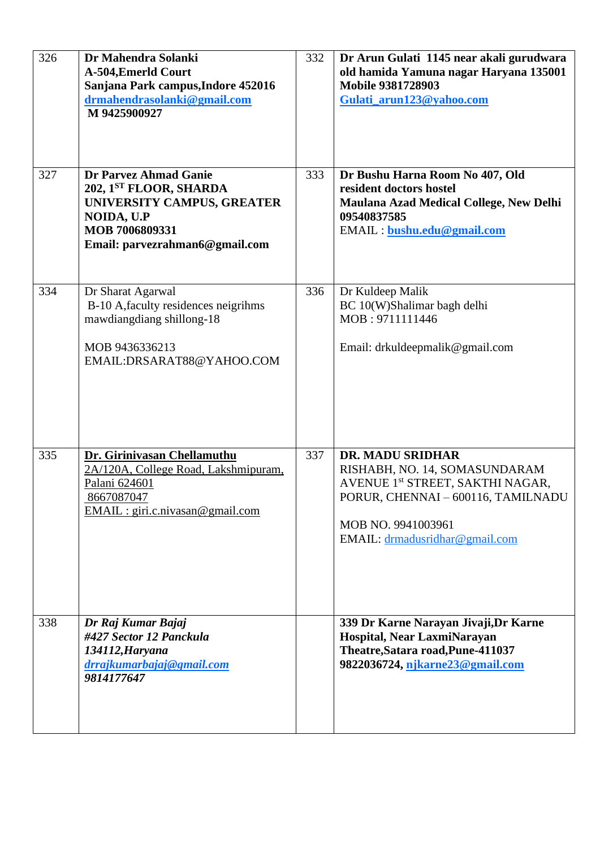| 326 | Dr Mahendra Solanki<br>A-504, EmerId Court<br>Sanjana Park campus, Indore 452016<br>drmahendrasolanki@gmail.com<br>M 9425900927                 | 332 | Dr Arun Gulati 1145 near akali gurudwara<br>old hamida Yamuna nagar Haryana 135001<br><b>Mobile 9381728903</b><br>Gulati_arun123@yahoo.com                                                             |
|-----|-------------------------------------------------------------------------------------------------------------------------------------------------|-----|--------------------------------------------------------------------------------------------------------------------------------------------------------------------------------------------------------|
| 327 | Dr Parvez Ahmad Ganie<br>202, 1ST FLOOR, SHARDA<br>UNIVERSITY CAMPUS, GREATER<br>NOIDA, U.P<br>MOB 7006809331<br>Email: parvezrahman6@gmail.com | 333 | Dr Bushu Harna Room No 407, Old<br>resident doctors hostel<br>Maulana Azad Medical College, New Delhi<br>09540837585<br>EMAIL : bushu.edu@gmail.com                                                    |
| 334 | Dr Sharat Agarwal<br>B-10 A, faculty residences neigrihms<br>mawdiangdiang shillong-18<br>MOB 9436336213<br>EMAIL:DRSARAT88@YAHOO.COM           | 336 | Dr Kuldeep Malik<br>BC 10(W)Shalimar bagh delhi<br>MOB: 9711111446<br>Email: drkuldeepmalik@gmail.com                                                                                                  |
| 335 | Dr. Girinivasan Chellamuthu<br>2A/120A, College Road, Lakshmipuram,<br>Palani 624601<br>8667087047<br>$EMAIL : giri.c.nivasan@gmail.com$        | 337 | <b>DR. MADU SRIDHAR</b><br>RISHABH, NO. 14, SOMASUNDARAM<br>AVENUE 1 <sup>st</sup> STREET, SAKTHI NAGAR,<br>PORUR, CHENNAI - 600116, TAMILNADU<br>MOB NO. 9941003961<br>EMAIL: drmadusridhar@gmail.com |
| 338 | Dr Raj Kumar Bajaj<br>#427 Sector 12 Panckula<br>134112, Haryana<br>drrajkumarbajaj@gmail.com<br>9814177647                                     |     | 339 Dr Karne Narayan Jivaji, Dr Karne<br>Hospital, Near LaxmiNarayan<br>Theatre, Satara road, Pune-411037<br>9822036724, njkarne23@gmail.com                                                           |